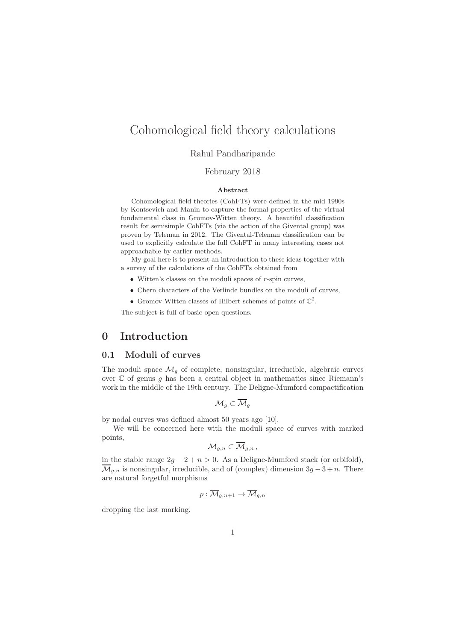# Cohomological field theory calculations

## Rahul Pandharipande

## February 2018

#### Abstract

Cohomological field theories (CohFTs) were defined in the mid 1990s by Kontsevich and Manin to capture the formal properties of the virtual fundamental class in Gromov-Witten theory. A beautiful classification result for semisimple CohFTs (via the action of the Givental group) was proven by Teleman in 2012. The Givental-Teleman classification can be used to explicitly calculate the full CohFT in many interesting cases not approachable by earlier methods.

My goal here is to present an introduction to these ideas together with a survey of the calculations of the CohFTs obtained from

- $\bullet$  Witten's classes on the moduli spaces of  $r$ -spin curves,
- Chern characters of the Verlinde bundles on the moduli of curves,
- Gromov-Witten classes of Hilbert schemes of points of  $\mathbb{C}^2$ .

The subject is full of basic open questions.

## 0 Introduction

## 0.1 Moduli of curves

The moduli space  $\mathcal{M}_g$  of complete, nonsingular, irreducible, algebraic curves over  $C$  of genus g has been a central object in mathematics since Riemann's work in the middle of the 19th century. The Deligne-Mumford compactification

$$
\mathcal{M}_g \subset \overline{\mathcal{M}}_g
$$

by nodal curves was defined almost 50 years ago [10].

We will be concerned here with the moduli space of curves with marked points,

$$
\mathcal{M}_{g,n}\subset\overline{\mathcal{M}}_{g,n}\,,
$$

in the stable range  $2g - 2 + n > 0$ . As a Deligne-Mumford stack (or orbifold),  $\overline{\mathcal{M}}_{g,n}$  is nonsingular, irreducible, and of (complex) dimension  $3g - 3 + n$ . There are natural forgetful morphisms

$$
p:\mathcal{M}_{g,n+1}\to \mathcal{M}_{g,n}
$$

dropping the last marking.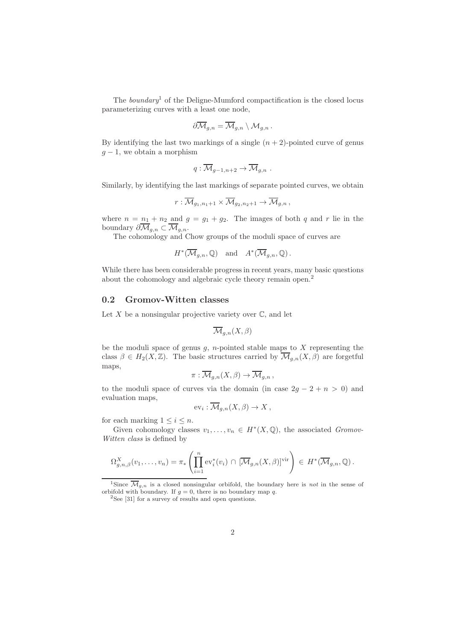The *boundary*<sup>1</sup> of the Deligne-Mumford compactification is the closed locus parameterizing curves with a least one node,

$$
\partial \overline{\mathcal{M}}_{g,n} = \overline{\mathcal{M}}_{g,n} \setminus \mathcal{M}_{g,n}.
$$

By identifying the last two markings of a single  $(n + 2)$ -pointed curve of genus  $q-1$ , we obtain a morphism

$$
q:\overline{\mathcal{M}}_{g-1,n+2}\to \overline{\mathcal{M}}_{g,n} .
$$

Similarly, by identifying the last markings of separate pointed curves, we obtain

$$
r:\overline{\mathcal{M}}_{g_1,n_1+1}\times \overline{\mathcal{M}}_{g_2,n_2+1}\to \overline{\mathcal{M}}_{g,n},
$$

where  $n = n_1 + n_2$  and  $g = g_1 + g_2$ . The images of both q and r lie in the boundary  $\partial \overline{\mathcal{M}}_{g,n} \subset \overline{\mathcal{M}}_{g,n}.$ 

The cohomology and Chow groups of the moduli space of curves are

$$
H^*(\overline{\mathcal{M}}_{g,n}, \mathbb{Q})
$$
 and  $A^*(\overline{\mathcal{M}}_{g,n}, \mathbb{Q})$ .

While there has been considerable progress in recent years, many basic questions about the cohomology and algebraic cycle theory remain open.<sup>2</sup>

#### 0.2 Gromov-Witten classes

Let  $X$  be a nonsingular projective variety over  $\mathbb{C}$ , and let

$$
\overline{\mathcal{M}}_{g,n}(X,\beta)
$$

be the moduli space of genus  $g$ , *n*-pointed stable maps to  $X$  representing the class  $\beta \in H_2(X,\mathbb{Z})$ . The basic structures carried by  $\overline{\mathcal{M}}_{g,n}(X,\beta)$  are forgetful maps,

$$
\pi: \overline{\mathcal{M}}_{g,n}(X,\beta) \to \overline{\mathcal{M}}_{g,n},
$$

to the moduli space of curves via the domain (in case  $2q - 2 + n > 0$ ) and evaluation maps,

$$
\mathrm{ev}_i: \overline{\mathcal{M}}_{g,n}(X,\beta) \to X\,,
$$

for each marking  $1 \leq i \leq n$ .

Given cohomology classes  $v_1, \ldots, v_n \in H^*(X, \mathbb{Q})$ , the associated *Gromov*-Witten class is defined by

$$
\Omega_{g,n,\beta}^X(v_1,\ldots,v_n)=\pi_*\left(\prod_{i=1}^n \mathrm{ev}_i^*(v_i)\,\cap\, [\overline{\mathcal{M}}_{g,n}(X,\beta)]^{\mathrm{vir}}\right)\,\in\, H^*(\overline{\mathcal{M}}_{g,n},\mathbb{Q})\,.
$$

<sup>1</sup>Since  $\overline{\mathcal{M}}_{g,n}$  is a closed nonsingular orbifold, the boundary here is *not* in the sense of orbifold with boundary. If  $g = 0$ , there is no boundary map q.

<sup>2</sup>See [31] for a survey of results and open questions.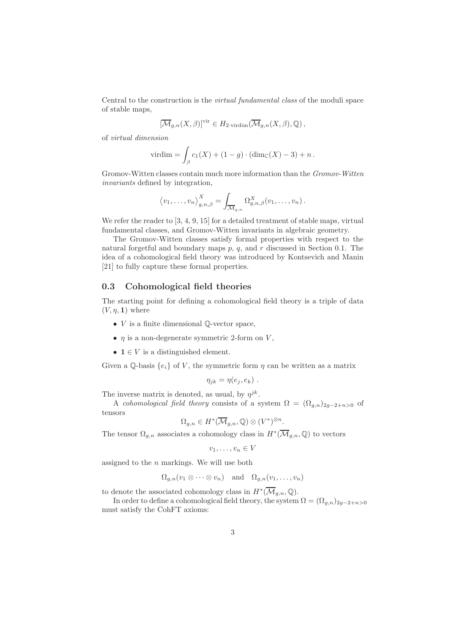Central to the construction is the virtual fundamental class of the moduli space of stable maps,

$$
[\overline{\mathcal{M}}_{g,n}(X,\beta)]^{\text{vir}} \in H_{2\text{-virdim}}(\overline{\mathcal{M}}_{g,n}(X,\beta),\mathbb{Q}),
$$

of virtual dimension

$$
virdim = \int_{\beta} c_1(X) + (1 - g) \cdot (dim_{\mathbb{C}}(X) - 3) + n.
$$

Gromov-Witten classes contain much more information than the Gromov-Witten invariants defined by integration,

$$
\langle v_1, \ldots, v_n \rangle_{g,n,\beta}^X = \int_{\overline{\mathcal{M}}_{g,n}} \Omega_{g,n,\beta}^X(v_1, \ldots, v_n).
$$

We refer the reader to  $[3, 4, 9, 15]$  for a detailed treatment of stable maps, virtual fundamental classes, and Gromov-Witten invariants in algebraic geometry.

The Gromov-Witten classes satisfy formal properties with respect to the natural forgetful and boundary maps  $p$ ,  $q$ , and  $r$  discussed in Section 0.1. The idea of a cohomological field theory was introduced by Kontsevich and Manin [21] to fully capture these formal properties.

## 0.3 Cohomological field theories

The starting point for defining a cohomological field theory is a triple of data  $(V, \eta, 1)$  where

- $V$  is a finite dimensional  $\mathbb{Q}\text{-vector space}$ ,
- $\eta$  is a non-degenerate symmetric 2-form on V,
- $\mathbf{1} \in V$  is a distinguished element.

Given a Q-basis  $\{e_i\}$  of V, the symmetric form  $\eta$  can be written as a matrix

$$
\eta_{jk} = \eta(e_j, e_k) .
$$

The inverse matrix is denoted, as usual, by  $\eta^{jk}$ .

A cohomological field theory consists of a system  $\Omega = (\Omega_{g,n})_{2g-2+n>0}$  of tensors

$$
\Omega_{g,n} \in H^*(\overline{\mathcal{M}}_{g,n}, \mathbb{Q}) \otimes (V^*)^{\otimes n}.
$$

The tensor  $\Omega_{g,n}$  associates a cohomology class in  $H^*(\overline{\mathcal{M}}_{g,n},\mathbb{Q})$  to vectors

$$
v_1,\ldots,v_n\in V
$$

assigned to the  $n$  markings. We will use both

$$
\Omega_{g,n}(v_1 \otimes \cdots \otimes v_n)
$$
 and  $\Omega_{g,n}(v_1,\ldots,v_n)$ 

to denote the associated cohomology class in  $H^*(\overline{\mathcal{M}}_{g,n}, \mathbb{Q})$ .

In order to define a cohomological field theory, the system  $\Omega = (\Omega_{g,n})_{2g-2+n>0}$ must satisfy the CohFT axioms: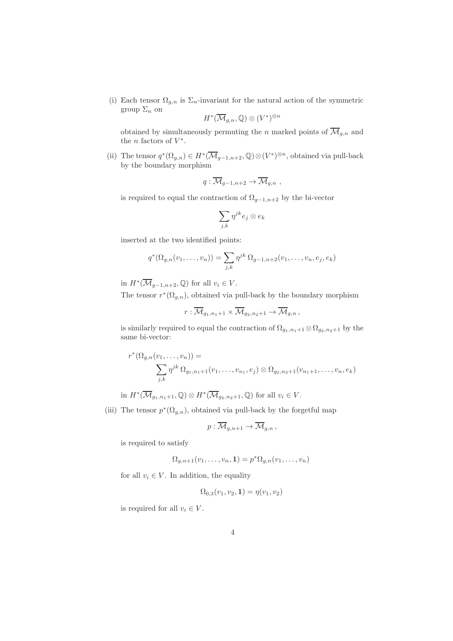(i) Each tensor  $\Omega_{g,n}$  is  $\Sigma_n$ -invariant for the natural action of the symmetric group  $\Sigma_n$  on

$$
H^*(\overline{\mathcal{M}}_{g,n},\mathbb{Q})\otimes (V^*)^{\otimes n}
$$

obtained by simultaneously permuting the n marked points of  $\overline{\mathcal{M}}_{q,n}$  and the *n* factors of  $V^*$ .

(ii) The tensor  $q^*(\Omega_{g,n}) \in H^*(\overline{\mathcal{M}}_{g-1,n+2},\mathbb{Q}) \otimes (V^*)^{\otimes n}$ , obtained via pull-back by the boundary morphism

$$
q:\overline{\mathcal{M}}_{g-1,n+2}\to \overline{\mathcal{M}}_{g,n},
$$

is required to equal the contraction of  $\Omega_{g-1,n+2}$  by the bi-vector

$$
\sum_{j,k}\eta^{jk}e_j\otimes e_k
$$

inserted at the two identified points:

$$
q^*(\Omega_{g,n}(v_1,\ldots,v_n)) = \sum_{j,k} \eta^{jk} \Omega_{g-1,n+2}(v_1,\ldots,v_n,e_j,e_k)
$$

in  $H^*(\overline{\mathcal{M}}_{g-1,n+2}, \mathbb{Q})$  for all  $v_i \in V$ .

The tensor  $r^*(\Omega_{g,n})$ , obtained via pull-back by the boundary morphism

$$
r:\overline{\mathcal{M}}_{g_1,n_1+1}\times\overline{\mathcal{M}}_{g_2,n_2+1}\to\overline{\mathcal{M}}_{g,n},
$$

is similarly required to equal the contraction of  $\Omega_{g_1,n_1+1} \otimes \Omega_{g_2,n_2+1}$  by the same bi-vector:

$$
r^*(\Omega_{g,n}(v_1,\ldots,v_n)) = \sum_{j,k} \eta^{jk} \Omega_{g_1,n_1+1}(v_1,\ldots,v_{n_1},e_j) \otimes \Omega_{g_2,n_2+1}(v_{n_1+1},\ldots,v_n,e_k)
$$

in  $H^*(\overline{\mathcal{M}}_{g_1,n_1+1},\mathbb{Q})\otimes H^*(\overline{\mathcal{M}}_{g_2,n_2+1},\mathbb{Q})$  for all  $v_i\in V$ .

(iii) The tensor  $p^*(\Omega_{g,n})$ , obtained via pull-back by the forgetful map

$$
p:\overline{\mathcal{M}}_{g,n+1}\to \overline{\mathcal{M}}_{g,n},
$$

is required to satisfy

$$
\Omega_{g,n+1}(v_1,\ldots,v_n,\mathbf{1})=p^*\Omega_{g,n}(v_1,\ldots,v_n)
$$

for all  $v_i \in V$ . In addition, the equality

$$
\Omega_{0,3}(v_1, v_2, \mathbf{1}) = \eta(v_1, v_2)
$$

is required for all  $v_i \in V$ .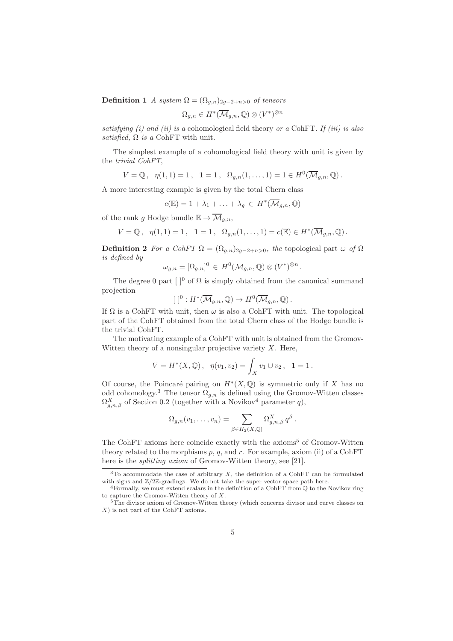**Definition 1** A system  $\Omega = (\Omega_{q,n})_{2q-2+n>0}$  of tensors

$$
\Omega_{g,n} \in H^*(\overline{\mathcal{M}}_{g,n}, \mathbb{Q}) \otimes (V^*)^{\otimes n}
$$

satisfying (i) and (ii) is a cohomological field theory or a CohFT. If (iii) is also satisfied,  $\Omega$  is a CohFT with unit.

The simplest example of a cohomological field theory with unit is given by the trivial CohFT,

$$
V = \mathbb{Q}, \ \ \eta(1,1) = 1, \ \ 1 = 1, \ \ \Omega_{g,n}(1,\ldots,1) = 1 \in H^0(\overline{\mathcal{M}}_{g,n},\mathbb{Q}).
$$

A more interesting example is given by the total Chern class

$$
c(\mathbb{E}) = 1 + \lambda_1 + \ldots + \lambda_g \in H^*(\overline{\mathcal{M}}_{g,n}, \mathbb{Q})
$$

of the rank g Hodge bundle  $\mathbb{E} \to \overline{\mathcal{M}}_{q,n}$ ,

$$
V = \mathbb{Q}, \ \ \eta(1,1) = 1, \ \ 1 = 1, \ \ \Omega_{g,n}(1,\ldots,1) = c(\mathbb{E}) \in H^*(\overline{\mathcal{M}}_{g,n},\mathbb{Q}).
$$

**Definition 2** For a CohFT  $\Omega = (\Omega_{g,n})_{2g-2+n>0}$ , the topological part  $\omega$  of  $\Omega$ is defined by

.

$$
\omega_{g,n} = [\Omega_{g,n}]^0 \in H^0(\overline{\mathcal{M}}_{g,n}, \mathbb{Q}) \otimes (V^*)^{\otimes n}
$$

The degree 0 part  $\lceil \cdot \rceil^0$  of  $\Omega$  is simply obtained from the canonical summand projection

$$
[ ]^0: H^*(\overline{\mathcal{M}}_{g,n}, \mathbb{Q}) \to H^0(\overline{\mathcal{M}}_{g,n}, \mathbb{Q}).
$$

If  $\Omega$  is a CohFT with unit, then  $\omega$  is also a CohFT with unit. The topological part of the CohFT obtained from the total Chern class of the Hodge bundle is the trivial CohFT.

The motivating example of a CohFT with unit is obtained from the Gromov-Witten theory of a nonsingular projective variety  $X$ . Here,

$$
V = H^*(X, \mathbb{Q}), \ \ \eta(v_1, v_2) = \int_X v_1 \cup v_2, \ \ \mathbf{1} = 1.
$$

Of course, the Poincaré pairing on  $H^*(X,\mathbb{Q})$  is symmetric only if X has no odd cohomology.<sup>3</sup> The tensor  $\Omega_{g,n}$  is defined using the Gromov-Witten classes  $\Omega_{g,n,\beta}^{X}$  of Section 0.2 (together with a Novikov<sup>4</sup> parameter q),

$$
\Omega_{g,n}(v_1,\ldots,v_n)=\sum_{\beta\in H_2(X,\mathbb{Q})}\Omega_{g,n,\beta}^X q^{\beta}.
$$

The CohFT axioms here coincide exactly with the  $axioms<sup>5</sup>$  of Gromov-Witten theory related to the morphisms  $p, q$ , and  $r$ . For example, axiom (ii) of a CohFT here is the *splitting axiom* of Gromov-Witten theory, see [21].

 $3$ To accommodate the case of arbitrary  $X$ , the definition of a CohFT can be formulated with signs and  $\mathbb{Z}/2\mathbb{Z}$ -gradings. We do not take the super vector space path here.

<sup>4</sup>Formally, we must extend scalars in the definition of a CohFT from Q to the Novikov ring to capture the Gromov-Witten theory of X.

<sup>&</sup>lt;sup>5</sup>The divisor axiom of Gromov-Witten theory (which concerns divisor and curve classes on X) is not part of the CohFT axioms.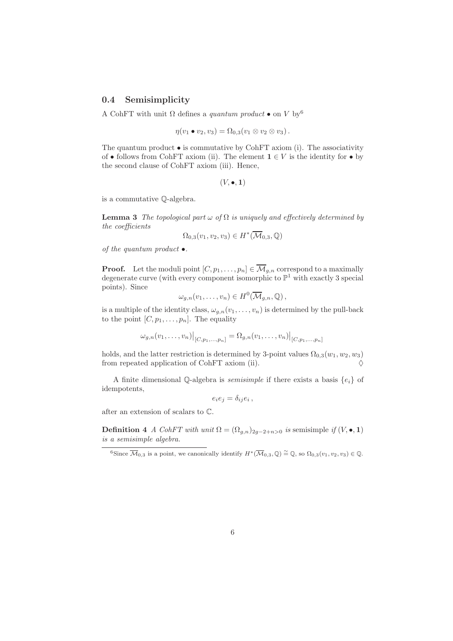## 0.4 Semisimplicity

A CohFT with unit  $\Omega$  defines a quantum product  $\bullet$  on V by<sup>6</sup>

$$
\eta(v_1 \bullet v_2, v_3) = \Omega_{0,3}(v_1 \otimes v_2 \otimes v_3).
$$

The quantum product  $\bullet$  is commutative by CohFT axiom (i). The associativity of • follows from CohFT axiom (ii). The element  $\mathbf{1} \in V$  is the identity for • by the second clause of CohFT axiom (iii). Hence,

 $(V, \bullet, 1)$ 

is a commutative Q-algebra.

**Lemma 3** The topological part  $\omega$  of  $\Omega$  is uniquely and effectively determined by the coefficients

$$
\Omega_{0,3}(v_1, v_2, v_3) \in H^*(\overline{\mathcal{M}}_{0,3}, \mathbb{Q})
$$

of the quantum product  $\bullet$ .

**Proof.** Let the moduli point  $[C, p_1, \ldots, p_n] \in \overline{\mathcal{M}}_{g,n}$  correspond to a maximally degenerate curve (with every component isomorphic to  $\mathbb{P}^1$  with exactly 3 special points). Since

$$
\omega_{g,n}(v_1,\ldots,v_n)\in H^0(\overline{\mathcal{M}}_{g,n},\mathbb{Q}),
$$

is a multiple of the identity class,  $\omega_{g,n}(v_1,\ldots,v_n)$  is determined by the pull-back to the point  $[C, p_1, \ldots, p_n]$ . The equality

$$
\omega_{g,n}(v_1,\ldots,v_n)|_{[C,p_1,\ldots,p_n]} = \Omega_{g,n}(v_1,\ldots,v_n)|_{[C,p_1,\ldots,p_n]}
$$

holds, and the latter restriction is determined by 3-point values  $\Omega_{0,3}(w_1,w_2,w_3)$ from repeated application of CohFT axiom (ii).

A finite dimensional Q-algebra is *semisimple* if there exists a basis  $\{e_i\}$  of idempotents,

$$
e_i e_j = \delta_{ij} e_i \,,
$$

after an extension of scalars to C.

**Definition 4** A CohFT with unit  $\Omega = (\Omega_{a,n})_{2a-2+n>0}$  is semisimple if  $(V, \bullet, 1)$ is a semisimple algebra.

<sup>&</sup>lt;sup>6</sup>Since  $\overline{\mathcal{M}}_{0,3}$  is a point, we canonically identify  $H^*(\overline{\mathcal{M}}_{0,3},\mathbb{Q}) \cong \mathbb{Q}$ , so  $\Omega_{0,3}(v_1,v_2,v_3) \in \mathbb{Q}$ .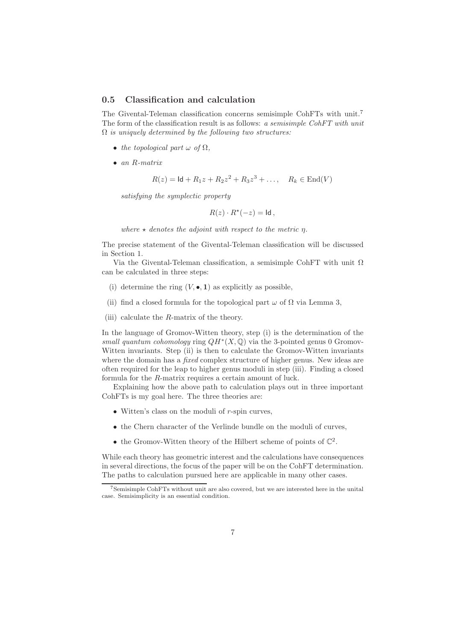#### 0.5 Classification and calculation

The Givental-Teleman classification concerns semisimple CohFTs with unit.<sup>7</sup> The form of the classification result is as follows: a semisimple CohFT with unit  $\Omega$  is uniquely determined by the following two structures:

- the topological part  $\omega$  of  $\Omega$ ,
- an R-matrix

$$
R(z) = \text{Id} + R_1 z + R_2 z^2 + R_3 z^3 + \dots, \quad R_k \in \text{End}(V)
$$

satisfying the symplectic property

 $R(z) \cdot R^*(-z) = \mathsf{Id}$ ,

where  $\star$  denotes the adjoint with respect to the metric  $\eta$ .

The precise statement of the Givental-Teleman classification will be discussed in Section 1.

Via the Givental-Teleman classification, a semisimple CohFT with unit  $\Omega$ can be calculated in three steps:

- (i) determine the ring  $(V, \bullet, 1)$  as explicitly as possible,
- (ii) find a closed formula for the topological part  $\omega$  of  $\Omega$  via Lemma 3,
- (iii) calculate the  $R$ -matrix of the theory.

In the language of Gromov-Witten theory, step (i) is the determination of the small quantum cohomology ring  $QH^*(X,\mathbb{Q})$  via the 3-pointed genus 0 Gromov-Witten invariants. Step (ii) is then to calculate the Gromov-Witten invariants where the domain has a *fixed* complex structure of higher genus. New ideas are often required for the leap to higher genus moduli in step (iii). Finding a closed formula for the R-matrix requires a certain amount of luck.

Explaining how the above path to calculation plays out in three important CohFTs is my goal here. The three theories are:

- Witten's class on the moduli of r-spin curves,
- the Chern character of the Verlinde bundle on the moduli of curves,
- the Gromov-Witten theory of the Hilbert scheme of points of  $\mathbb{C}^2$ .

While each theory has geometric interest and the calculations have consequences in several directions, the focus of the paper will be on the CohFT determination. The paths to calculation pursued here are applicable in many other cases.

<sup>7</sup>Semisimple CohFTs without unit are also covered, but we are interested here in the unital case. Semisimplicity is an essential condition.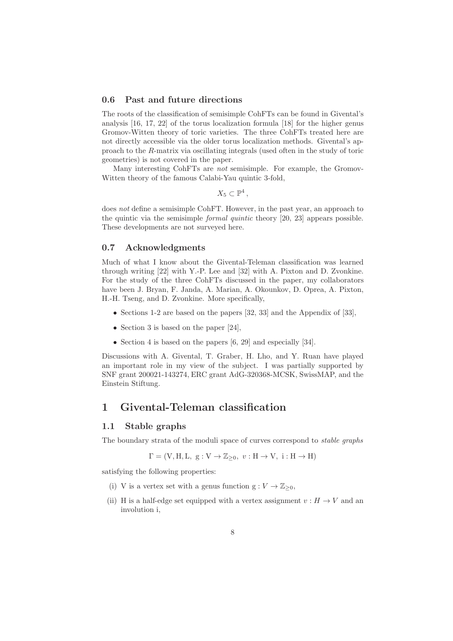#### 0.6 Past and future directions

The roots of the classification of semisimple CohFTs can be found in Givental's analysis [16, 17, 22] of the torus localization formula [18] for the higher genus Gromov-Witten theory of toric varieties. The three CohFTs treated here are not directly accessible via the older torus localization methods. Givental's approach to the R-matrix via oscillating integrals (used often in the study of toric geometries) is not covered in the paper.

Many interesting CohFTs are not semisimple. For example, the Gromov-Witten theory of the famous Calabi-Yau quintic 3-fold,

 $X_5 \subset \mathbb{P}^4$ ,

does not define a semisimple CohFT. However, in the past year, an approach to the quintic via the semisimple formal quintic theory [20, 23] appears possible. These developments are not surveyed here.

#### 0.7 Acknowledgments

Much of what I know about the Givental-Teleman classification was learned through writing [22] with Y.-P. Lee and [32] with A. Pixton and D. Zvonkine. For the study of the three CohFTs discussed in the paper, my collaborators have been J. Bryan, F. Janda, A. Marian, A. Okounkov, D. Oprea, A. Pixton, H.-H. Tseng, and D. Zvonkine. More specifically,

- Sections 1-2 are based on the papers [32, 33] and the Appendix of [33],
- Section 3 is based on the paper [24],
- Section 4 is based on the papers [6, 29] and especially [34].

Discussions with A. Givental, T. Graber, H. Lho, and Y. Ruan have played an important role in my view of the subject. I was partially supported by SNF grant 200021-143274, ERC grant AdG-320368-MCSK, SwissMAP, and the Einstein Stiftung.

## 1 Givental-Teleman classification

#### 1.1 Stable graphs

The boundary strata of the moduli space of curves correspond to *stable graphs* 

$$
\Gamma = (\mathbf{V}, \mathbf{H}, \mathbf{L}, \mathbf{g} : \mathbf{V} \to \mathbb{Z}_{\geq 0}, \ v : \mathbf{H} \to \mathbf{V}, \ i : \mathbf{H} \to \mathbf{H})
$$

satisfying the following properties:

- (i) V is a vertex set with a genus function  $g: V \to \mathbb{Z}_{\geq 0}$ ,
- (ii) H is a half-edge set equipped with a vertex assignment  $v : H \to V$  and an involution i,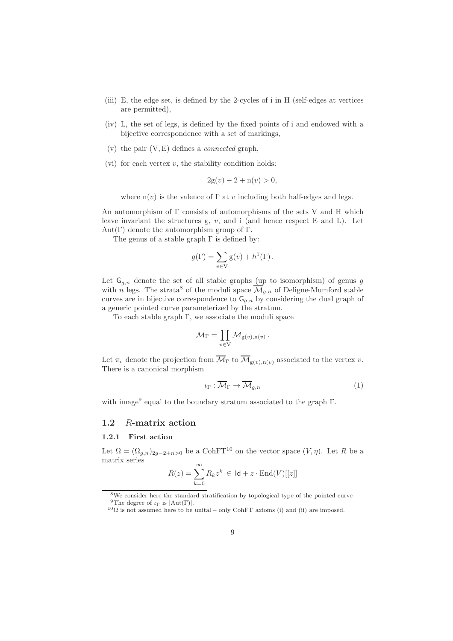- (iii) E, the edge set, is defined by the 2-cycles of i in H (self-edges at vertices are permitted),
- (iv) L, the set of legs, is defined by the fixed points of i and endowed with a bijective correspondence with a set of markings,
- (v) the pair  $(V, E)$  defines a *connected* graph,
- (vi) for each vertex  $v$ , the stability condition holds:

$$
2g(v) - 2 + n(v) > 0,
$$

where  $n(v)$  is the valence of  $\Gamma$  at v including both half-edges and legs.

An automorphism of Γ consists of automorphisms of the sets V and H which leave invariant the structures g,  $v$ , and i (and hence respect  $E$  and  $L$ ). Let Aut $(\Gamma)$  denote the automorphism group of  $\Gamma$ .

The genus of a stable graph  $\Gamma$  is defined by:

$$
g(\Gamma) = \sum_{v \in V} g(v) + h^{1}(\Gamma).
$$

Let  $\mathsf{G}_{q,n}$  denote the set of all stable graphs (up to isomorphism) of genus g with n legs. The strata<sup>8</sup> of the moduli space  $\overline{\mathcal{M}}_{g,n}$  of Deligne-Mumford stable curves are in bijective correspondence to  $G_{g,n}$  by considering the dual graph of a generic pointed curve parameterized by the stratum.

To each stable graph  $\Gamma$ , we associate the moduli space

$$
\overline{\mathcal{M}}_{\Gamma} = \prod_{v \in V} \overline{\mathcal{M}}_{g(v),n(v)}.
$$

Let  $\pi_v$  denote the projection from  $\overline{\mathcal{M}}_{\Gamma}$  to  $\overline{\mathcal{M}}_{g(v),n(v)}$  associated to the vertex v. There is a canonical morphism

$$
\iota_{\Gamma} : \overline{\mathcal{M}}_{\Gamma} \to \overline{\mathcal{M}}_{g,n} \tag{1}
$$

with image<sup>9</sup> equal to the boundary stratum associated to the graph Γ.

#### 1.2 R-matrix action

## 1.2.1 First action

Let  $\Omega = (\Omega_{q,n})_{2q-2+n>0}$  be a CohFT<sup>10</sup> on the vector space  $(V, \eta)$ . Let R be a matrix series

$$
R(z) = \sum_{k=0}^{\infty} R_k z^k \in \text{Id} + z \cdot \text{End}(V)[[z]]
$$

<sup>8</sup>We consider here the standard stratification by topological type of the pointed curve <sup>9</sup>The degree of  $\iota_{\Gamma}$  is  $|Aut(\Gamma)|$ .

 $10\Omega$  is not assumed here to be unital – only CohFT axioms (i) and (ii) are imposed.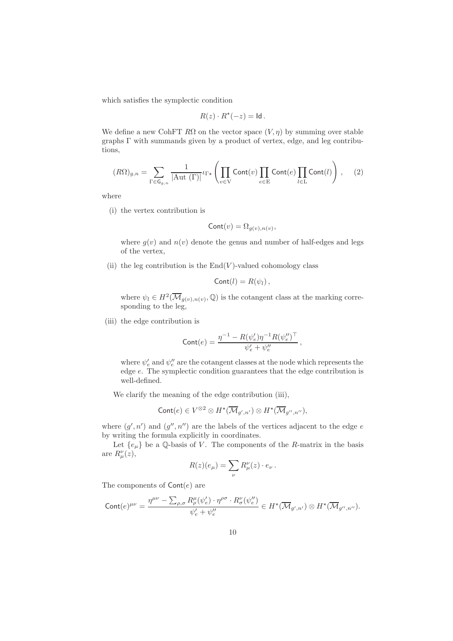which satisfies the symplectic condition

$$
R(z) \cdot R^*(-z) = \mathsf{Id} \, .
$$

We define a new CohFT  $R\Omega$  on the vector space  $(V, \eta)$  by summing over stable graphs Γ with summands given by a product of vertex, edge, and leg contributions,

$$
(R\Omega)_{g,n} = \sum_{\Gamma \in \mathsf{G}_{g,n}} \frac{1}{|\mathrm{Aut}(\Gamma)|} \iota_{\Gamma \star} \left( \prod_{v \in \mathcal{V}} \mathrm{Cont}(v) \prod_{e \in \mathrm{E}} \mathrm{Cont}(e) \prod_{l \in \mathrm{L}} \mathrm{Cont}(l) \right), \quad (2)
$$

where

(i) the vertex contribution is

$$
Cont(v) = \Omega_{g(v), n(v)},
$$

where  $q(v)$  and  $n(v)$  denote the genus and number of half-edges and legs of the vertex,

(ii) the leg contribution is the  $End(V)$ -valued cohomology class

$$
Cont(l) = R(\psi_l),
$$

where  $\psi_l \in H^2(\overline{\mathcal{M}}_{g(v),n(v)}, \mathbb{Q})$  is the cotangent class at the marking corresponding to the leg,

(iii) the edge contribution is

$$
\text{Cont}(e) = \frac{\eta^{-1} - R(\psi_e') \eta^{-1} R(\psi_e'')^\top}{\psi_e' + \psi_e''}\,,
$$

where  $\psi'_e$  and  $\psi''_e$  are the cotangent classes at the node which represents the edge e. The symplectic condition guarantees that the edge contribution is well-defined.

We clarify the meaning of the edge contribution (iii),

$$
\mathsf{Cont}(e) \in V^{\otimes 2} \otimes H^{\star}(\overline{\mathcal{M}}_{g',n'}) \otimes H^{\star}(\overline{\mathcal{M}}_{g'',n''}),
$$

where  $(g', n')$  and  $(g'', n'')$  are the labels of the vertices adjacent to the edge e by writing the formula explicitly in coordinates.

Let  $\{e_{\mu}\}\$ be a Q-basis of V. The components of the R-matrix in the basis are  $R^{\nu}_{\mu}(z)$ ,

$$
R(z)(e_{\mu}) = \sum_{\nu} R_{\mu}^{\nu}(z) \cdot e_{\nu} .
$$

The components of  $Cont(e)$  are

$$
\mathrm{Cont}(e)^{\mu\nu}=\frac{\eta^{\mu\nu}-\sum_{\rho,\sigma}R_{\rho}^{\mu}(\psi_e')\cdot \eta^{\rho\sigma}\cdot R_{\sigma}^{\nu}(\psi_e'')}{\psi_e'+\psi_e''}\in H^{\star}(\overline{\mathcal{M}}_{g',n'})\otimes H^{\star}(\overline{\mathcal{M}}_{g'',n''}).
$$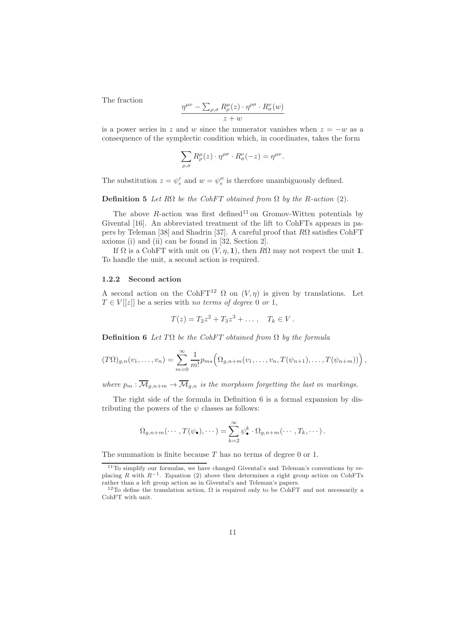The fraction

$$
\frac{\eta^{\mu\nu} - \sum_{\rho,\sigma} R^{\mu}_{\rho}(z) \cdot \eta^{\rho\sigma} \cdot R^{\nu}_{\sigma}(w)}{z+w}
$$

is a power series in z and w since the numerator vanishes when  $z = -w$  as a consequence of the symplectic condition which, in coordinates, takes the form

$$
\sum_{\rho,\sigma} R^\mu_\rho(z) \cdot \eta^{\rho\sigma} \cdot R^\nu_\sigma(-z) = \eta^{\mu\nu}.
$$

The substitution  $z = \psi'_e$  and  $w = \psi''_e$  is therefore unambiguously defined.

#### Definition 5 Let  $R\Omega$  be the CohFT obtained from  $\Omega$  by the R-action (2).

The above  $R$ -action was first defined<sup>11</sup> on Gromov-Witten potentials by Givental [16]. An abbreviated treatment of the lift to CohFTs appears in papers by Teleman [38] and Shadrin [37]. A careful proof that  $R\Omega$  satisfies CohFT axioms (i) and (ii) can be found in [32, Section 2].

If  $\Omega$  is a CohFT with unit on  $(V, \eta, 1)$ , then  $R\Omega$  may not respect the unit 1. To handle the unit, a second action is required.

#### 1.2.2 Second action

A second action on the CohFT<sup>12</sup>  $\Omega$  on  $(V, \eta)$  is given by translations. Let  $T \in V[[z]]$  be a series with no terms of degree 0 or 1,

$$
T(z) = T_2 z^2 + T_3 z^3 + \dots, \quad T_k \in V.
$$

**Definition 6** Let  $T\Omega$  be the CohFT obtained from  $\Omega$  by the formula

$$
(T\Omega)_{g,n}(v_1,\ldots,v_n)=\sum_{m=0}^{\infty}\frac{1}{m!}p_{m\star}\Big(\Omega_{g,n+m}(v_1,\ldots,v_n,T(\psi_{n+1}),\ldots,T(\psi_{n+m}))\Big),
$$

where  $p_m : \overline{\mathcal{M}}_{g,n+m} \to \overline{\mathcal{M}}_{g,n}$  is the morphism forgetting the last m markings.

The right side of the formula in Definition 6 is a formal expansion by distributing the powers of the  $\psi$  classes as follows:

$$
\Omega_{g,n+m}(\cdots,T(\psi_{\bullet}),\cdots)=\sum_{k=2}^{\infty}\psi_{\bullet}^{k}\cdot\Omega_{g,n+m}(\cdots,T_{k},\cdots).
$$

The summation is finite because T has no terms of degree 0 or 1.

 $11$ To simplify our formulas, we have changed Givental's and Teleman's conventions by replacing R with  $R^{-1}$ . Equation (2) above then determines a right group action on CohFTs rather than a left group action as in Givental's and Teleman's papers.

<sup>&</sup>lt;sup>12</sup>To define the translation action,  $\Omega$  is required only to be CohFT and not necessarily a CohFT with unit.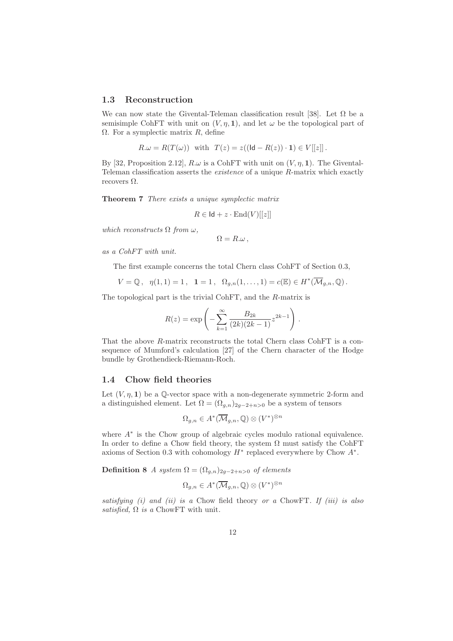#### 1.3 Reconstruction

We can now state the Givental-Teleman classification result [38]. Let  $\Omega$  be a semisimple CohFT with unit on  $(V, \eta, 1)$ , and let  $\omega$  be the topological part of  $\Omega$ . For a symplectic matrix R, define

$$
R.\omega = R(T(\omega)) \text{ with } T(z) = z((\mathsf{Id} - R(z)) \cdot \mathbf{1}) \in V[[z]].
$$

By [32, Proposition 2.12],  $R.\omega$  is a CohFT with unit on  $(V, \eta, 1)$ . The Givental-Teleman classification asserts the existence of a unique R-matrix which exactly recovers  $\Omega$ .

Theorem 7 There exists a unique symplectic matrix

$$
R \in \mathsf{Id} + z \cdot \mathrm{End}(V)[[z]]
$$

which reconstructs  $\Omega$  from  $\omega$ ,

$$
\Omega=R.\omega\,,
$$

as a CohFT with unit.

The first example concerns the total Chern class CohFT of Section 0.3,

$$
V = \mathbb{Q}, \ \ \eta(1,1) = 1, \ \ 1 = 1, \ \ \Omega_{g,n}(1,\ldots,1) = c(\mathbb{E}) \in H^*(\overline{\mathcal{M}}_{g,n},\mathbb{Q}).
$$

The topological part is the trivial CohFT, and the R-matrix is

$$
R(z) = \exp\left(-\sum_{k=1}^{\infty} \frac{B_{2k}}{(2k)(2k-1)} z^{2k-1}\right).
$$

That the above R-matrix reconstructs the total Chern class CohFT is a consequence of Mumford's calculation [27] of the Chern character of the Hodge bundle by Grothendieck-Riemann-Roch.

### 1.4 Chow field theories

Let  $(V, \eta, 1)$  be a Q-vector space with a non-degenerate symmetric 2-form and a distinguished element. Let  $\Omega = (\Omega_{q,n})_{2q-2+n>0}$  be a system of tensors

$$
\Omega_{g,n} \in A^*(\overline{\mathcal{M}}_{g,n}, \mathbb{Q}) \otimes (V^*)^{\otimes n}
$$

where A<sup>∗</sup> is the Chow group of algebraic cycles modulo rational equivalence. In order to define a Chow field theory, the system  $\Omega$  must satisfy the CohFT axioms of Section 0.3 with cohomology  $H^*$  replaced everywhere by Chow  $A^*$ .

**Definition 8** A system  $\Omega = (\Omega_{g,n})_{2g-2+n>0}$  of elements

$$
\Omega_{g,n} \in A^*(\overline{\mathcal{M}}_{g,n}, \mathbb{Q}) \otimes (V^*)^{\otimes n}
$$

satisfying  $(i)$  and  $(ii)$  is a Chow field theory or a ChowFT. If  $(iii)$  is also satisfied,  $\Omega$  is a ChowFT with unit.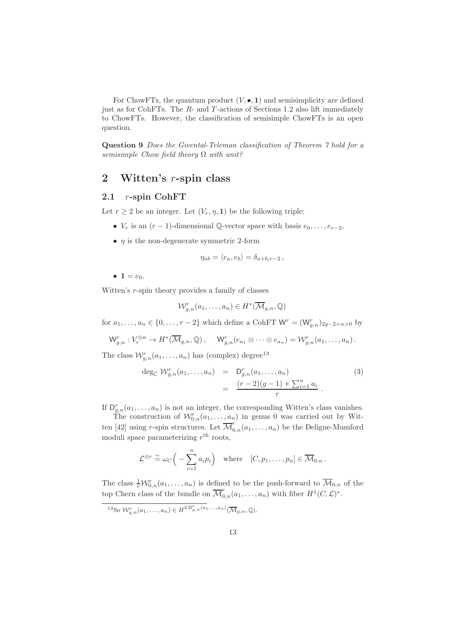For ChowFTs, the quantum product  $(V, \bullet, 1)$  and semisimplicity are defined just as for CohFTs. The  $R$ - and  $T$ -actions of Sections 1.2 also lift immediately to ChowFTs. However, the classification of semisimple ChowFTs is an open question.

Question 9 Does the Givental-Teleman classification of Theorem 7 hold for a semisimple Chow field theory  $\Omega$  with unit?

## 2 Witten's r-spin class

## 2.1 r-spin CohFT

Let  $r \geq 2$  be an integer. Let  $(V_r, \eta, 1)$  be the following triple:

- $V_r$  is an  $(r-1)$ -dimensional  $\mathbb{Q}$ -vector space with basis  $e_0, \ldots, e_{r-2}$ ,
- $\eta$  is the non-degenerate symmetric 2-form

$$
\eta_{ab} = \langle e_a, e_b \rangle = \delta_{a+b,r-2},
$$

•  $1 = e_0$ .

Witten's r-spin theory provides a family of classes

$$
\mathcal{W}_{g,n}^r(a_1,\ldots,a_n)\in H^*(\overline{\mathcal{M}}_{g,n},\mathbb{Q})
$$

for  $a_1, \ldots, a_n \in \{0, \ldots, r-2\}$  which define a CohFT  $\mathsf{W}^r = (\mathsf{W}^r_{g,n})_{2g-2+n>0}$  by

$$
\mathsf W_{g,n}^r: V_r^{\otimes n} \to H^*(\overline{\mathcal{M}}_{g,n},\mathbb Q)\,, \quad \mathsf W_{g,n}^r(e_{a_1}\otimes \cdots \otimes e_{a_n})=\mathcal W_{g,n}^r(a_1,\ldots,a_n)\,.
$$

The class  $\mathcal{W}_{g,n}^r(a_1,\ldots,a_n)$  has (complex) degree<sup>13</sup>

$$
\deg_{\mathbb{C}} \mathcal{W}_{g,n}^r(a_1,\ldots,a_n) = D_{g,n}^r(a_1,\ldots,a_n) \n= \frac{(r-2)(g-1) + \sum_{i=1}^n a_i}{r}.
$$
\n(3)

If  $D_{g,n}^r(a_1,\ldots,a_n)$  is not an integer, the corresponding Witten's class vanishes.

The construction of  $\mathcal{W}_{0,n}^r(a_1,\ldots,a_n)$  in genus 0 was carried out by Witten [42] using r-spin structures. Let  $\overline{\mathcal{M}}_{0,n}^r(a_1,\ldots,a_n)$  be the Deligne-Mumford moduli space parameterizing  $r<sup>th</sup>$  roots,

$$
\mathcal{L}^{\otimes r} \stackrel{\sim}{=} \omega_C \Big( - \sum_{i=1}^n a_i p_i \Big) \quad \text{where} \quad [C, p_1, \dots, p_n] \in \overline{\mathcal{M}}_{0,n} \, .
$$

The class  $\frac{1}{r}W_{0,n}^r(a_1,\ldots,a_n)$  is defined to be the push-forward to  $\overline{\mathcal{M}}_{0,n}$  of the top Chern class of the bundle on  $\overline{\mathcal{M}}_{0,n}^r(a_1,\ldots,a_n)$  with fiber  $H^1(C,\mathcal{L})^*$ .

<sup>13</sup>So  $\mathcal{W}_{g,n}^r(a_1,\ldots,a_n) \in H^{2 \cdot D_{g,n}^r(a_1,\ldots,a_n)}(\overline{\mathcal{M}}_{g,n},\mathbb{Q}).$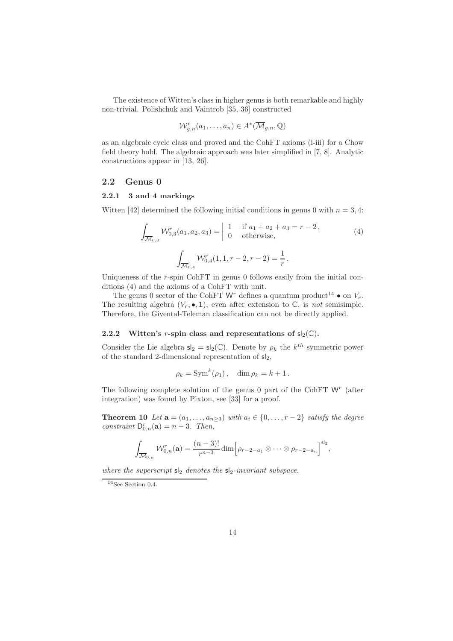The existence of Witten's class in higher genus is both remarkable and highly non-trivial. Polishchuk and Vaintrob [35, 36] constructed

$$
\mathcal{W}_{g,n}^r(a_1,\ldots,a_n)\in A^*(\overline{\mathcal{M}}_{g,n},\mathbb{Q})
$$

as an algebraic cycle class and proved and the CohFT axioms (i-iii) for a Chow field theory hold. The algebraic approach was later simplified in [7, 8]. Analytic constructions appear in [13, 26].

#### 2.2 Genus 0

#### 2.2.1 3 and 4 markings

Witten [42] determined the following initial conditions in genus 0 with  $n = 3, 4$ :

$$
\int_{\overline{\mathcal{M}}_{0,3}} \mathcal{W}_{0,3}^r(a_1, a_2, a_3) = \begin{vmatrix} 1 & \text{if } a_1 + a_2 + a_3 = r - 2, \\ 0 & \text{otherwise,} \end{vmatrix}
$$
\n
$$
\int_{\overline{\mathcal{M}}_{0,4}} \mathcal{W}_{0,4}^r(1, 1, r - 2, r - 2) = \frac{1}{r}.
$$
\n(4)

Uniqueness of the r-spin CohFT in genus 0 follows easily from the initial conditions (4) and the axioms of a CohFT with unit.

The genus 0 sector of the CohFT  $\mathsf{W}^r$  defines a quantum product  $^{14}$   $\bullet$  on  $V_r.$ The resulting algebra  $(V_r, \bullet, 1)$ , even after extension to  $\mathbb{C}$ , is not semisimple. Therefore, the Givental-Teleman classification can not be directly applied.

#### 2.2.2 Witten's *r*-spin class and representations of  $sl_2(\mathbb{C})$ .

Consider the Lie algebra  $\mathsf{s}|_2 = \mathsf{s}|_2(\mathbb{C})$ . Denote by  $\rho_k$  the  $k^{th}$  symmetric power of the standard 2-dimensional representation of  $sl_2$ ,

$$
\rho_k = \operatorname{Sym}^k(\rho_1), \quad \dim \rho_k = k+1.
$$

The following complete solution of the genus  $0$  part of the CohFT  $W<sup>r</sup>$  (after integration) was found by Pixton, see [33] for a proof.

**Theorem 10** Let  $\mathbf{a} = (a_1, \ldots, a_{n \geq 3})$  with  $a_i \in \{0, \ldots, r-2\}$  satisfy the degree constraint  $D_{0,n}^r(\mathbf{a}) = n - 3$ . Then,

$$
\int_{\overline{\mathcal{M}}_{0,n}} \mathcal{W}_{0,n}^r(\mathbf{a}) = \frac{(n-3)!}{r^{n-3}} \dim \Big[\rho_{r-2-a_1} \otimes \cdots \otimes \rho_{r-2-a_n}\Big]^{sl_2},
$$

where the superscript  $sl_2$  denotes the  $sl_2$ -invariant subspace.

 $14$ See Section 0.4.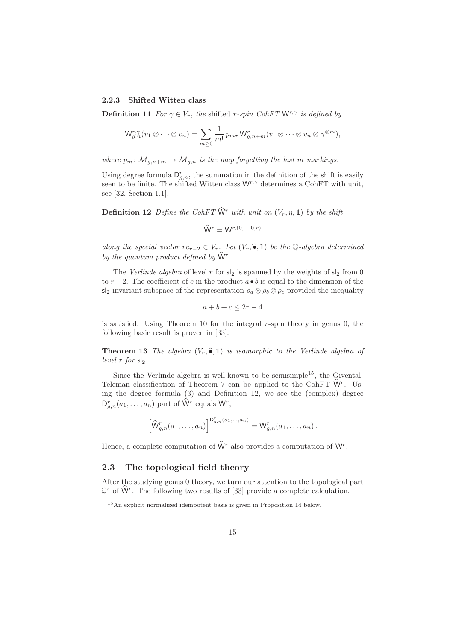#### 2.2.3 Shifted Witten class

**Definition 11** For  $\gamma \in V_r$ , the shifted r-spin CohFT  $W^{r,\gamma}$  is defined by

$$
\mathsf{W}_{g,n}^{r,\gamma}(v_1\otimes\cdots\otimes v_n)=\sum_{m\geq 0}\frac{1}{m!}p_{m\star}\mathsf{W}_{g,n+m}^r(v_1\otimes\cdots\otimes v_n\otimes\gamma^{\otimes m}),
$$

where  $p_m: \overline{\mathcal{M}}_{q,n+m} \to \overline{\mathcal{M}}_{q,n}$  is the map forgetting the last m markings.

Using degree formula  $D_{g,n}^r$ , the summation in the definition of the shift is easily seen to be finite. The shifted Witten class  $W^{r,\gamma}$  determines a CohFT with unit, see [32, Section 1.1].

**Definition 12** Define the CohFT  $\hat{W}$ <sup>r</sup> with unit on  $(V_r, \eta, 1)$  by the shift

$$
\widehat{\mathsf{W}}^r = \mathsf{W}^{r,(0,\ldots,0,r)}
$$

along the special vector  $re_{r-2} \in V_r$ . Let  $(V_r, \hat{\bullet}, 1)$  be the Q-algebra determined by the quantum product defined by  $\hat{W}^r$ .

The Verlinde algebra of level r for  $s_2$  is spanned by the weights of  $s_2$  from 0 to  $r-2$ . The coefficient of c in the product  $a \bullet b$  is equal to the dimension of the sl<sub>2</sub>-invariant subspace of the representation  $\rho_a \otimes \rho_b \otimes \rho_c$  provided the inequality

$$
a+b+c \le 2r-4
$$

is satisfied. Using Theorem 10 for the integral  $r$ -spin theory in genus 0, the following basic result is proven in [33].

**Theorem 13** The algebra  $(V_r, \hat{\bullet}, 1)$  is isomorphic to the Verlinde algebra of level  $r$  for  $sl_2$ .

Since the Verlinde algebra is well-known to be semisimple<sup>15</sup>, the Givental-Teleman classification of Theorem 7 can be applied to the CohFT  $\hat{W}$ <sup>r</sup>. Using the degree formula (3) and Definition 12, we see the (complex) degree  $D_{g,n}^r(a_1,\ldots,a_n)$  part of  $\hat{W}^r$  equals  $W^r$ ,

$$
\left[\widehat{\mathsf{W}}_{g,n}^r(a_1,\ldots,a_n)\right]^{\mathsf{D}_{g,n}^r(a_1,\ldots,a_n)}=\mathsf{W}_{g,n}^r(a_1,\ldots,a_n).
$$

Hence, a complete computation of  $\hat{W}^r$  also provides a computation of  $W^r$ .

#### 2.3 The topological field theory

After the studying genus 0 theory, we turn our attention to the topological part  $\widehat{\omega}^r$  of  $\widehat{W}^r$ . The following two results of [33] provide a complete calculation.

<sup>15</sup>An explicit normalized idempotent basis is given in Proposition 14 below.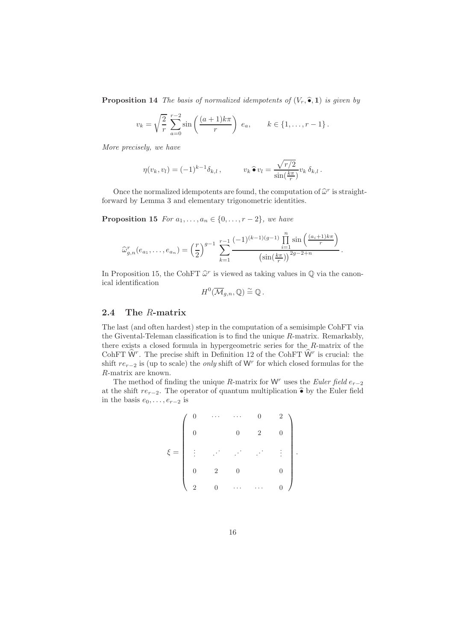**Proposition 14** The basis of normalized idempotents of  $(V_r, \hat{\bullet}, 1)$  is given by

$$
v_k = \sqrt{\frac{2}{r}} \sum_{a=0}^{r-2} \sin\left(\frac{(a+1)k\pi}{r}\right) e_a, \qquad k \in \{1, ..., r-1\}.
$$

More precisely, we have

$$
\eta(v_k, v_l) = (-1)^{k-1} \delta_{k,l}, \qquad v_k \widehat{\bullet} v_l = \frac{\sqrt{r/2}}{\sin(\frac{k\pi}{r})} v_k \, \delta_{k,l}.
$$

Once the normalized idempotents are found, the computation of  $\hat{\omega}^r$  is straightforward by Lemma 3 and elementary trigonometric identities.

**Proposition 15** For  $a_1, \ldots, a_n \in \{0, \ldots, r-2\}$ , we have

$$
\widehat{\omega}_{g,n}^r(e_{a_1},\ldots,e_{a_n})=\left(\frac{r}{2}\right)^{g-1}\sum_{k=1}^{r-1}\frac{(-1)^{(k-1)(g-1)}\prod_{i=1}^n\sin\left(\frac{(a_i+1)k\pi}{r}\right)}{(\sin(\frac{k\pi}{r}))^{2g-2+n}}.
$$

In Proposition 15, the CohFT  $\hat{\omega}^r$  is viewed as taking values in  $\mathbb Q$  via the canonical identification

$$
H^0(\overline{\mathcal{M}}_{g,n},\mathbb{Q})\stackrel{\sim}{=}\mathbb{Q}.
$$

## 2.4 The R-matrix

The last (and often hardest) step in the computation of a semisimple CohFT via the Givental-Teleman classification is to find the unique  $R$ -matrix. Remarkably, there exists a closed formula in hypergeometric series for the R-matrix of the CohFT  $\hat{W}$ . The precise shift in Definition 12 of the CohFT  $\hat{W}$ <sup>r</sup> is crucial: the shift  $re_{r-2}$  is (up to scale) the *only* shift of W<sup>r</sup> for which closed formulas for the R-matrix are known.

The method of finding the unique R-matrix for  $W<sup>r</sup>$  uses the Euler field  $e_{r-2}$ at the shift  $re_{r-2}$ . The operator of quantum multiplication  $\hat{\bullet}$  by the Euler field in the basis  $e_0, \ldots, e_{r-2}$  is

$$
\xi = \left( \begin{array}{cccccc} 0 & \cdots & \cdots & 0 & 2 \\ & & & & & \\ 0 & & 0 & 2 & 0 \\ \vdots & & \ddots & \ddots & \ddots & \vdots \\ & & & & & \\ 0 & 2 & 0 & & 0 \\ 2 & 0 & \cdots & \cdots & 0 \end{array} \right).
$$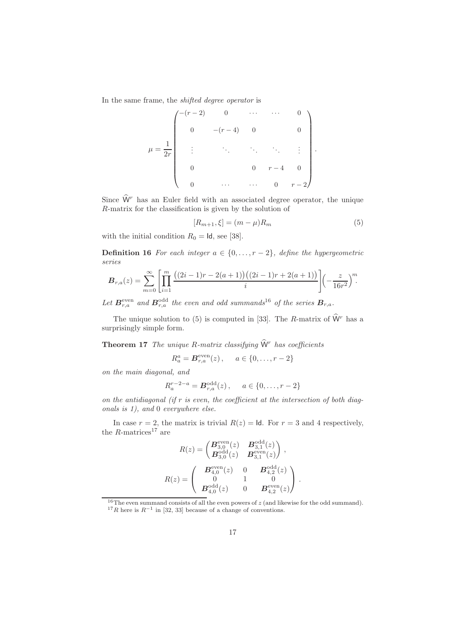In the same frame, the shifted degree operator is

$$
\mu = \frac{1}{2r} \begin{pmatrix} -(r-2) & 0 & \cdots & \cdots & 0 \\ & & -(r-4) & 0 & 0 \\ & & & \ddots & \ddots & \ddots & \vdots \\ & & & & 0 & r-4 & 0 \\ 0 & & & & \cdots & 0 & r-2 \end{pmatrix}.
$$

Since  $\widehat{W}^r$  has an Euler field with an associated degree operator, the unique R-matrix for the classification is given by the solution of

$$
[R_{m+1}, \xi] = (m - \mu)R_m \tag{5}
$$

with the initial condition  $R_0 = \text{Id}$ , see [38].

**Definition 16** For each integer  $a \in \{0, \ldots, r-2\}$ , define the hypergeometric series

$$
\boldsymbol{B}_{r,a}(z) = \sum_{m=0}^{\infty} \left[ \prod_{i=1}^{m} \frac{((2i-1)r - 2(a+1))((2i-1)r + 2(a+1))}{i} \right] \left( -\frac{z}{16r^2} \right)^m.
$$

Let  $B_{r,a}^{\text{even}}$  and  $B_{r,a}^{\text{odd}}$  the even and odd summands<sup>16</sup> of the series  $B_{r,a}$ .

The unique solution to (5) is computed in [33]. The R-matrix of  $\hat{W}$ <sup>r</sup> has a surprisingly simple form.

**Theorem 17** The unique R-matrix classifying  $\hat{W}$ <sup>r</sup> has coefficients

$$
R_a^a = B_{r,a}^{\text{even}}(z), \quad a \in \{0, ..., r-2\}
$$

on the main diagonal, and

$$
R_a^{r-2-a} = \mathbf{B}_{r,a}^{\text{odd}}(z), \quad a \in \{0, \dots, r-2\}
$$

on the antidiagonal (if  $r$  is even, the coefficient at the intersection of both diagonals is 1), and 0 everywhere else.

In case  $r = 2$ , the matrix is trivial  $R(z) = \text{Id}$ . For  $r = 3$  and 4 respectively, the  $R$ -matrices<sup>17</sup> are

$$
R(z) = \begin{pmatrix} \mathbf{B}_{3,0}^{\text{even}}(z) & \mathbf{B}_{3,1}^{\text{odd}}(z) \\ \mathbf{B}_{3,0}^{\text{odd}}(z) & \mathbf{B}_{3,1}^{\text{even}}(z) \end{pmatrix},
$$

$$
R(z) = \begin{pmatrix} \mathbf{B}_{4,0}^{\text{even}}(z) & 0 & \mathbf{B}_{4,2}^{\text{odd}}(z) \\ 0 & 1 & 0 \\ \mathbf{B}_{4,0}^{\text{odd}}(z) & 0 & \mathbf{B}_{4,2}^{\text{even}}(z) \end{pmatrix}.
$$

 $16$ The even summand consists of all the even powers of  $z$  (and likewise for the odd summand). <sup>17</sup>R here is  $R^{-1}$  in [32, 33] because of a change of conventions.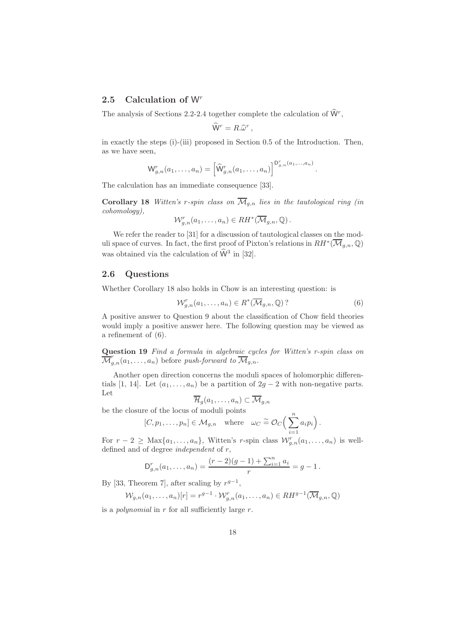## 2.5 Calculation of  $W<sup>r</sup>$

The analysis of Sections 2.2-2.4 together complete the calculation of  $\hat{W}^r$ ,

$$
\widehat{\mathsf{W}}^r=R.\widehat{\omega}^r\,,
$$

in exactly the steps (i)-(iii) proposed in Section 0.5 of the Introduction. Then, as we have seen,

$$
\mathsf{W}_{g,n}^r(a_1,\ldots,a_n)=\left[\widehat{\mathsf{W}}_{g,n}^r(a_1,\ldots,a_n)\right]^{\mathsf{D}_{g,n}^r(a_1,\ldots,a_n)}.
$$

The calculation has an immediate consequence [33].

Corollary 18 Witten's r-spin class on  $\overline{\mathcal{M}}_{q,n}$  lies in the tautological ring (in cohomology),

$$
\mathcal{W}_{g,n}^r(a_1,\ldots,a_n)\in RH^*(\overline{\mathcal{M}}_{g,n},\mathbb{Q})\,.
$$

We refer the reader to [31] for a discussion of tautological classes on the moduli space of curves. In fact, the first proof of Pixton's relations in  $RH^*(\overline{\mathcal{M}}_{g,n},\mathbb Q)$ was obtained via the calculation of  $\hat{W}^3$  in [32].

#### 2.6 Questions

Whether Corollary 18 also holds in Chow is an interesting question: is

$$
\mathcal{W}_{g,n}^r(a_1,\ldots,a_n) \in R^*(\overline{\mathcal{M}}_{g,n},\mathbb{Q})
$$
 (6)

A positive answer to Question 9 about the classification of Chow field theories would imply a positive answer here. The following question may be viewed as a refinement of (6).

Question 19 Find a formula in algebraic cycles for Witten's r-spin class on  $\overline{\mathcal{M}}_{g,n}^r(a_1,\ldots,a_n)$  before push-forward to  $\overline{\mathcal{M}}_{g,n}$ .

Another open direction concerns the moduli spaces of holomorphic differentials [1, 14]. Let  $(a_1, \ldots, a_n)$  be a partition of  $2g - 2$  with non-negative parts. Let

$$
\mathcal{H}_g(a_1, \ldots, a_n) \subset \mathcal{M}_{g,n}
$$
 be the closure of the locus of moduli points

$$
[C, p_1, \ldots, p_n] \in \mathcal{M}_{g,n} \quad \text{where} \quad \omega_C \cong \mathcal{O}_C\Big(\sum_{i=1}^n a_i p_i\Big).
$$

For  $r-2 \geq \text{Max}\{a_1,\ldots,a_n\}$ , Witten's r-spin class  $\mathcal{W}_{g,n}^r(a_1,\ldots,a_n)$  is welldefined and of degree independent of r,

$$
\mathsf{D}_{g,n}^r(a_1,\ldots,a_n) = \frac{(r-2)(g-1) + \sum_{i=1}^n a_i}{r} = g-1.
$$

By [33, Theorem 7], after scaling by  $r^{g-1}$ ,

$$
\mathcal{W}_{g,n}(a_1,\ldots,a_n)[r] = r^{g-1} \cdot \mathcal{W}_{g,n}^r(a_1,\ldots,a_n) \in RH^{g-1}(\overline{\mathcal{M}}_{g,n},\mathbb{Q})
$$

is a *polynomial* in  $r$  for all sufficiently large  $r$ .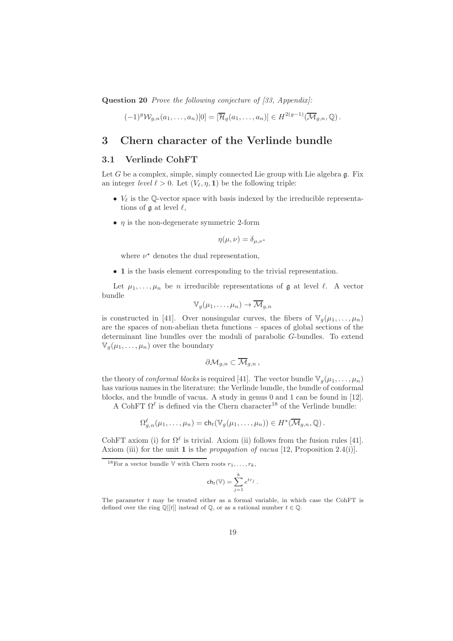Question 20 Prove the following conjecture of [33, Appendix]:

$$
(-1)^g \mathcal{W}_{g,n}(a_1,\ldots,a_n)[0]=[\overline{\mathcal{H}}_g(a_1,\ldots,a_n)] \in H^{2(g-1)}(\overline{\mathcal{M}}_{g,n},\mathbb{Q}).
$$

## 3 Chern character of the Verlinde bundle

## 3.1 Verlinde CohFT

Let  $G$  be a complex, simple, simply connected Lie group with Lie algebra  $\mathfrak{g}$ . Fix an integer *level*  $\ell > 0$ . Let  $(V_\ell, \eta, 1)$  be the following triple:

- $V_{\ell}$  is the Q-vector space with basis indexed by the irreducible representations of  $\mathfrak g$  at level  $\ell$ ,
- $n$  is the non-degenerate symmetric 2-form

$$
\eta(\mu,\nu) = \delta_{\mu,\nu^*}
$$

where  $\nu^*$  denotes the dual representation,

• 1 is the basis element corresponding to the trivial representation.

Let  $\mu_1, \ldots, \mu_n$  be *n* irreducible representations of **g** at level  $\ell$ . A vector bundle

$$
\mathbb{V}_g(\mu_1,\ldots,\mu_n)\to \overline{\mathcal{M}}_{g,n}
$$

is constructed in [41]. Over nonsingular curves, the fibers of  $\mathbb{V}_q(\mu_1, \ldots, \mu_n)$ are the spaces of non-abelian theta functions – spaces of global sections of the determinant line bundles over the moduli of parabolic G-bundles. To extend  $\mathbb{V}_q(\mu_1,\ldots,\mu_n)$  over the boundary

$$
\partial \mathcal{M}_{g,n} \subset \overline{\mathcal{M}}_{g,n},
$$

the theory of *conformal blocks* is required [41]. The vector bundle  $\mathbb{V}_q(\mu_1, \ldots, \mu_n)$ has various names in the literature: the Verlinde bundle, the bundle of conformal blocks, and the bundle of vacua. A study in genus 0 and 1 can be found in [12].

A CohFT  $\Omega^{\ell}$  is defined via the Chern character<sup>18</sup> of the Verlinde bundle:

$$
\Omega_{g,n}^{\ell}(\mu_1,\ldots,\mu_n)=\mathsf{ch}_t(\mathbb{V}_g(\mu_1,\ldots,\mu_n))\in H^{\star}(\overline{\mathcal{M}}_{g,n},\mathbb{Q}).
$$

CohFT axiom (i) for  $\Omega^{\ell}$  is trivial. Axiom (ii) follows from the fusion rules [41]. Axiom (iii) for the unit 1 is the *propagation of vacua* [12, Proposition 2.4(i)].

$$
\operatorname{ch}_t(\mathbb{V})=\sum_{j=1}^k e^{tr_j}\;.
$$

<sup>&</sup>lt;sup>18</sup>For a vector bundle  $\nabla$  with Chern roots  $r_1, \ldots, r_k$ ,

The parameter t may be treated either as a formal variable, in which case the CohFT is defined over the ring  $\mathbb{Q}[[t]]$  instead of  $\mathbb{Q}$ , or as a rational number  $t \in \mathbb{Q}$ .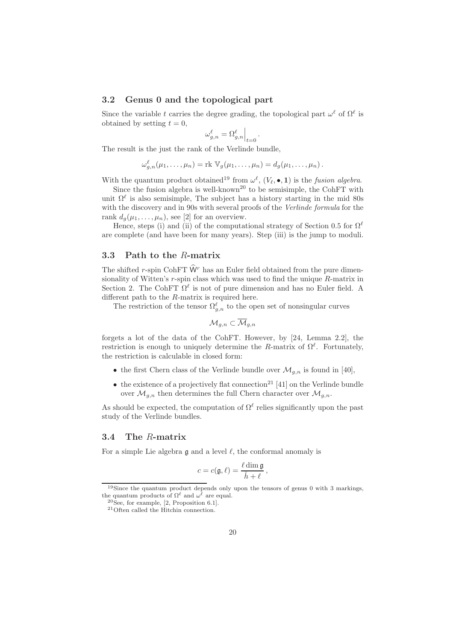#### 3.2 Genus 0 and the topological part

Since the variable t carries the degree grading, the topological part  $\omega^{\ell}$  of  $\Omega^{\ell}$  is obtained by setting  $t = 0$ ,

$$
\omega_{g,n}^\ell=\Omega_{g,n}^\ell\Big|_{t=0}\,.
$$

The result is the just the rank of the Verlinde bundle,

$$
\omega_{g,n}^{\ell}(\mu_1,\ldots,\mu_n)=\mathrm{rk}\ \mathbb{V}_g(\mu_1,\ldots,\mu_n)=d_g(\mu_1,\ldots,\mu_n).
$$

With the quantum product obtained<sup>19</sup> from  $\omega^{\ell}$ ,  $(V_{\ell}, \bullet, 1)$  is the *fusion algebra*.

Since the fusion algebra is well-known<sup>20</sup> to be semisimple, the CohFT with unit  $\Omega^{\ell}$  is also semisimple, The subject has a history starting in the mid 80s with the discovery and in 90s with several proofs of the Verlinde formula for the rank  $d_q(\mu_1, \ldots, \mu_n)$ , see [2] for an overview.

Hence, steps (i) and (ii) of the computational strategy of Section 0.5 for  $\Omega^{\ell}$ are complete (and have been for many years). Step (iii) is the jump to moduli.

#### 3.3 Path to the R-matrix

The shifted r-spin CohFT  $\hat{W}$  has an Euler field obtained from the pure dimensionality of Witten's  $r$ -spin class which was used to find the unique  $R$ -matrix in Section 2. The CohFT  $\Omega^{\ell}$  is not of pure dimension and has no Euler field. A different path to the R-matrix is required here.

The restriction of the tensor  $\Omega_{g,n}^{\ell}$  to the open set of nonsingular curves

$$
\mathcal{M}_{g,n}\subset \overline{\mathcal{M}}_{g,n}
$$

forgets a lot of the data of the CohFT. However, by [24, Lemma 2.2], the restriction is enough to uniquely determine the R-matrix of  $\Omega^{\ell}$ . Fortunately, the restriction is calculable in closed form:

- the first Chern class of the Verlinde bundle over  $\mathcal{M}_{a,n}$  is found in [40],
- the existence of a projectively flat connection<sup>21</sup> [41] on the Verlinde bundle over  $\mathcal{M}_{g,n}$  then determines the full Chern character over  $\mathcal{M}_{g,n}$ .

As should be expected, the computation of  $\Omega^{\ell}$  relies significantly upon the past study of the Verlinde bundles.

#### 3.4 The R-matrix

For a simple Lie algebra  $\mathfrak g$  and a level  $\ell$ , the conformal anomaly is

$$
c = c(\mathfrak{g}, \ell) = \frac{\ell \dim \mathfrak{g}}{\check{h} + \ell}\,,
$$

<sup>19</sup>Since the quantum product depends only upon the tensors of genus 0 with 3 markings, the quantum products of  $\Omega^{\ell}$  and  $\omega^{\ell}$  are equal.

<sup>20</sup>See, for example, [2, Proposition 6.1].

<sup>21</sup>Often called the Hitchin connection.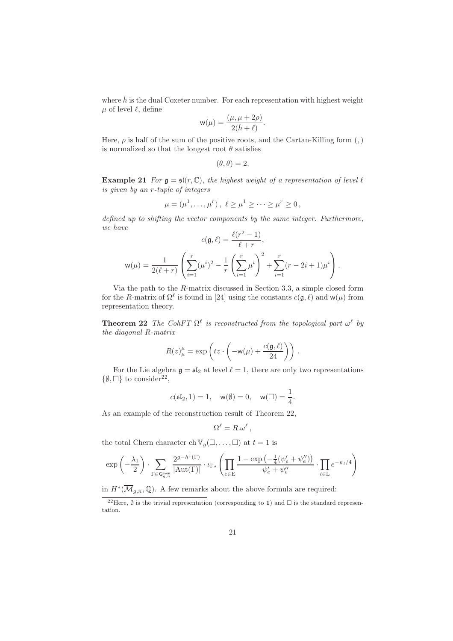where  $\check{h}$  is the dual Coxeter number. For each representation with highest weight  $\mu$  of level  $\ell$ , define

$$
\mathsf{w}(\mu) = \frac{(\mu, \mu + 2\rho)}{2(\check{h} + \ell)}.
$$

Here,  $\rho$  is half of the sum of the positive roots, and the Cartan-Killing form (,) is normalized so that the longest root  $\theta$  satisfies

$$
(\theta, \theta) = 2.
$$

**Example 21** For  $\mathfrak{g} = \mathfrak{sl}(r, \mathbb{C})$ , the highest weight of a representation of level  $\ell$ is given by an r-tuple of integers

$$
\mu = (\mu^1, ..., \mu^r), \ell \ge \mu^1 \ge ... \ge \mu^r \ge 0,
$$

defined up to shifting the vector components by the same integer. Furthermore, we have  $\ell(n^2-1)$ 

$$
c(\mathfrak{g}, \ell) = \frac{\ell(r^2 - 1)}{\ell + r},
$$

$$
\mathsf{w}(\mu) = \frac{1}{2(\ell + r)} \left( \sum_{i=1}^r (\mu^i)^2 - \frac{1}{r} \left( \sum_{i=1}^r \mu^i \right)^2 + \sum_{i=1}^r (r - 2i + 1)\mu^i \right).
$$

Via the path to the R-matrix discussed in Section 3.3, a simple closed form for the R-matrix of  $\Omega^{\ell}$  is found in [24] using the constants  $c(\mathfrak{g}, \ell)$  and  $w(\mu)$  from representation theory.

**Theorem 22** The CohFT  $\Omega^{\ell}$  is reconstructed from the topological part  $\omega^{\ell}$  by the diagonal R-matrix

$$
R(z)_{\mu}^{\mu} = \exp\left(tz \cdot \left(-\mathsf{w}(\mu) + \frac{c(\mathfrak{g}, \ell)}{24}\right)\right) .
$$

For the Lie algebra  $\mathfrak{g} = \mathfrak{sl}_2$  at level  $\ell = 1$ , there are only two representations  $\{\emptyset, \Box\}$  to consider<sup>22</sup>,

$$
c(\mathfrak{sl}_2, 1) = 1
$$
,  $w(\emptyset) = 0$ ,  $w(\square) = \frac{1}{4}$ .

As an example of the reconstruction result of Theorem 22,

$$
\Omega^{\ell} = R.\omega^{\ell} ,
$$

the total Chern character ch  $\mathbb{V}_q(\square, \dots, \square)$  at  $t = 1$  is

$$
\exp\left(-\frac{\lambda_1}{2}\right)\cdot \sum_{\Gamma\in\mathsf{G}_{g,n}^{\mathsf{even}}}\frac{2^{g-h^1(\Gamma)}}{|\mathrm{Aut}(\Gamma)|}\cdot \iota_{\Gamma\star}\left(\prod_{e\in E}\frac{1-\exp\left(-\frac{1}{4}(\psi_e'+\psi_e'')\right)}{\psi_e'+\psi_e''}\cdot \prod_{l\in\mathcal{L}}e^{-\psi_l/4}\right)
$$

in  $H^*(\overline{\mathcal{M}}_{g,n},\mathbb{Q})$ . A few remarks about the above formula are required:

<sup>&</sup>lt;sup>22</sup>Here,  $\emptyset$  is the trivial representation (corresponding to 1) and  $\Box$  is the standard representation.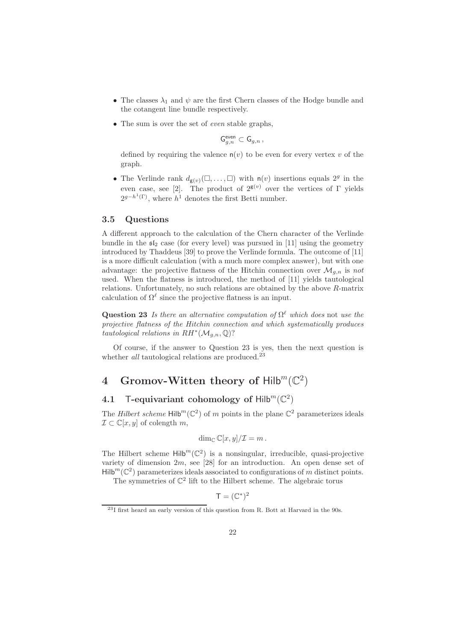- The classes  $\lambda_1$  and  $\psi$  are the first Chern classes of the Hodge bundle and the cotangent line bundle respectively.
- The sum is over the set of *even* stable graphs.

$$
\mathsf{G}^{\mathsf{even}}_{g,n}\subset \mathsf{G}_{g,n}\,,
$$

defined by requiring the valence  $n(v)$  to be even for every vertex v of the graph.

• The Verlinde rank  $d_{g(v)}(\square, \dots, \square)$  with  $n(v)$  insertions equals  $2^g$  in the even case, see [2]. The product of  $2^{g(v)}$  over the vertices of Γ yields  $2^{g-h^{1}(\Gamma)}$ , where  $h^{1}$  denotes the first Betti number.

#### 3.5 Questions

A different approach to the calculation of the Chern character of the Verlinde bundle in the  $\mathfrak{sl}_2$  case (for every level) was pursued in [11] using the geometry introduced by Thaddeus [39] to prove the Verlinde formula. The outcome of [11] is a more difficult calculation (with a much more complex answer), but with one advantage: the projective flatness of the Hitchin connection over  $\mathcal{M}_{g,n}$  is not used. When the flatness is introduced, the method of [11] yields tautological relations. Unfortunately, no such relations are obtained by the above R-matrix calculation of  $\Omega^{\ell}$  since the projective flatness is an input.

Question 23 Is there an alternative computation of  $\Omega^{\ell}$  which does not use the projective flatness of the Hitchin connection and which systematically produces tautological relations in  $RH^*(\mathcal{M}_{g,n},\mathbb{Q})$ ?

Of course, if the answer to Question 23 is yes, then the next question is whether all tautological relations are produced.<sup>23</sup>

# 4 Gromov-Witten theory of  $\mathsf{Hilb}^m(\mathbb{C}^2)$

# 4.1 T-equivariant cohomology of  $\text{Hilb}^m(\mathbb{C}^2)$

The *Hilbert scheme*  $Hilb<sup>m</sup>(\mathbb{C}^2)$  of m points in the plane  $\mathbb{C}^2$  parameterizes ideals  $\mathcal{I} \subset \mathbb{C}[x,y]$  of colength m,

$$
\dim_{\mathbb{C}} \mathbb{C}[x,y]/\mathcal{I}=m.
$$

The Hilbert scheme  $Hilb^{m}(\mathbb{C}^{2})$  is a nonsingular, irreducible, quasi-projective variety of dimension  $2m$ , see [28] for an introduction. An open dense set of  $Hilb<sup>m</sup>(\mathbb{C}^2)$  parameterizes ideals associated to configurations of m distinct points.

The symmetries of  $\mathbb{C}^2$  lift to the Hilbert scheme. The algebraic torus

$$
\mathsf{T} = (\mathbb{C}^*)^2
$$

<sup>23</sup>I first heard an early version of this question from R. Bott at Harvard in the 90s.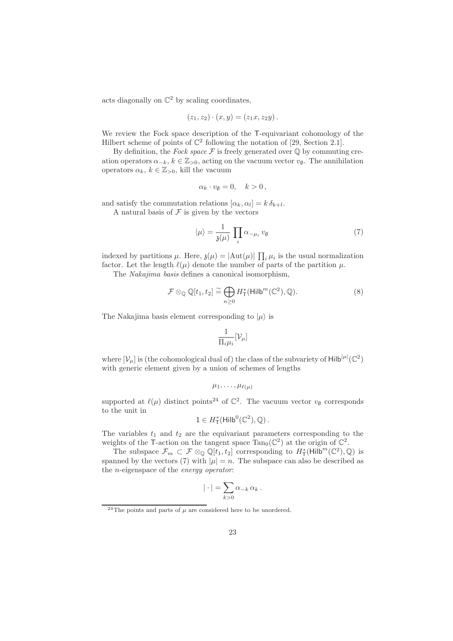acts diagonally on  $\mathbb{C}^2$  by scaling coordinates,

$$
(z_1, z_2) \cdot (x, y) = (z_1 x, z_2 y).
$$

We review the Fock space description of the T-equivariant cohomology of the Hilbert scheme of points of  $\mathbb{C}^2$  following the notation of [29, Section 2.1].

By definition, the Fock space  $\mathcal F$  is freely generated over  $\mathbb Q$  by commuting creation operators  $\alpha_{-k}$ ,  $k \in \mathbb{Z}_{>0}$ , acting on the vacuum vector  $v_{\emptyset}$ . The annihilation operators  $\alpha_k, k \in \mathbb{Z}_{>0}$ , kill the vacuum

$$
\alpha_k \cdot v_{\emptyset} = 0, \quad k > 0,
$$

and satisfy the commutation relations  $[\alpha_k, \alpha_l] = k \delta_{k+l}$ . A natural basis of  ${\mathcal F}$  is given by the vectors

$$
|\mu\rangle = \frac{1}{\mathfrak{z}(\mu)} \prod_{i} \alpha_{-\mu_i} v_{\emptyset}
$$
 (7)

indexed by partitions  $\mu$ . Here,  $\mathfrak{z}(\mu) = |\text{Aut}(\mu)| \prod_i \mu_i$  is the usual normalization factor. Let the length  $\ell(\mu)$  denote the number of parts of the partition  $\mu$ .

The *Nakajima basis* defines a canonical isomorphism.

$$
\mathcal{F} \otimes_{\mathbb{Q}} \mathbb{Q}[t_1, t_2] \cong \bigoplus_{n \geq 0} H_{\mathsf{T}}^*(\mathsf{Hilb}^m(\mathbb{C}^2), \mathbb{Q}).\tag{8}
$$

The Nakajima basis element corresponding to  $|\mu\rangle$  is

$$
\frac{1}{\Pi_i \mu_i}[\mathcal{V}_\mu]
$$

where  $[\mathcal{V}_{\mu}]$  is (the cohomological dual of) the class of the subvariety of Hilb $^{|\mu|}(\mathbb{C}^2)$ with generic element given by a union of schemes of lengths

$$
\mu_1,\ldots,\mu_{\ell(\mu)}
$$

supported at  $\ell(\mu)$  distinct points<sup>24</sup> of  $\mathbb{C}^2$ . The vacuum vector  $v_{\emptyset}$  corresponds to the unit in

$$
1\in H^*_\mathsf{T}(\mathsf{Hilb}^0(\mathbb{C}^2),\mathbb{Q})\,.
$$

The variables  $t_1$  and  $t_2$  are the equivariant parameters corresponding to the weights of the T-action on the tangent space  $\text{Tan}_0(\mathbb{C}^2)$  at the origin of  $\mathbb{C}^2$ .

The subspace  $\mathcal{F}_m \subset \mathcal{F} \otimes_{\mathbb{Q}} \mathbb{Q}[t_1, t_2]$  corresponding to  $H^*_{\mathsf{T}}(\mathsf{Hilb}^m(\mathbb{C}^2), \mathbb{Q})$  is spanned by the vectors (7) with  $|\mu| = n$ . The subspace can also be described as the n-eigenspace of the energy operator:

$$
|\cdot| = \sum_{k>0} \alpha_{-k} \alpha_k.
$$

<sup>&</sup>lt;sup>24</sup>The points and parts of  $\mu$  are considered here to be unordered.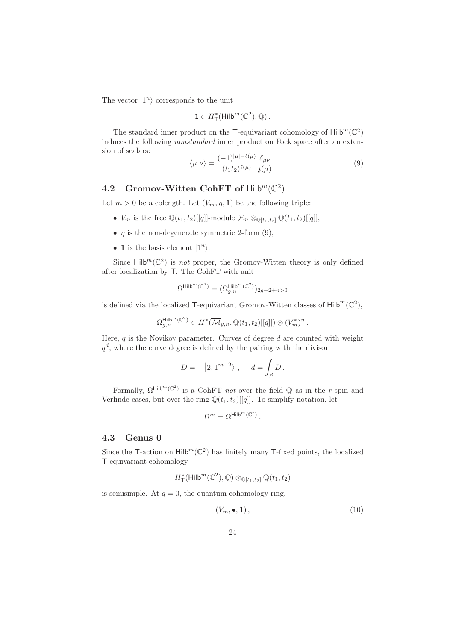The vector  $|1^n\rangle$  corresponds to the unit

$$
1 \in H^*_{\mathsf{T}}(\mathsf{Hilb}^m(\mathbb{C}^2), \mathbb{Q})\,.
$$

The standard inner product on the T-equivariant cohomology of  $\mathsf{Hilb}^m(\mathbb{C}^2)$ induces the following nonstandard inner product on Fock space after an extension of scalars:

$$
\langle \mu | \nu \rangle = \frac{(-1)^{|\mu| - \ell(\mu)}}{(t_1 t_2)^{\ell(\mu)}} \frac{\delta_{\mu\nu}}{\mathfrak{z}(\mu)}.
$$
\n(9)

# 4.2 Gromov-Witten CohFT of  $\text{Hilb}^m(\mathbb{C}^2)$

Let  $m > 0$  be a colength. Let  $(V_m, \eta, 1)$  be the following triple:

- $V_m$  is the free  $\mathbb{Q}(t_1, t_2)[[q]]$ -module  $\mathcal{F}_m \otimes_{\mathbb{Q}[t_1, t_2]} \mathbb{Q}(t_1, t_2)[[q]]$ ,
- $\eta$  is the non-degenerate symmetric 2-form (9),
- 1 is the basis element  $|1^n\rangle$ .

Since  $\text{Hilb}^m(\mathbb{C}^2)$  is *not* proper, the Gromov-Witten theory is only defined after localization by T. The CohFT with unit

$$
\Omega^{\mathsf{Hilb}^m(\mathbb{C}^2)}=(\Omega_{g,n}^{\mathsf{Hilb}^m(\mathbb{C}^2)})_{2g-2+n>0}
$$

is defined via the localized T-equivariant Gromov-Witten classes of  $\mathsf{Hilb}^m(\mathbb{C}^2)$ ,

$$
\Omega_{g,n}^{\mathsf{Hilb}^m(\mathbb{C}^2)} \in H^*(\overline{\mathcal{M}}_{g,n}, \mathbb{Q}(t_1, t_2)[[q]]) \otimes (V_m^*)^n.
$$

Here,  $q$  is the Novikov parameter. Curves of degree  $d$  are counted with weight  $q<sup>d</sup>$ , where the curve degree is defined by the pairing with the divisor

$$
D = - |2, 1^{m-2}\rangle , \quad d = \int_{\beta} D.
$$

Formally,  $\Omega^{\text{Hilb}^m(\mathbb{C}^2)}$  is a CohFT *not* over the field  $\mathbb Q$  as in the *r*-spin and Verlinde cases, but over the ring  $\mathbb{Q}(t_1, t_2)$ [[q]]. To simplify notation, let

$$
\Omega^m=\Omega^{\mathsf{Hilb}^m(\mathbb{C}^2)}\,.
$$

#### 4.3 Genus 0

Since the T-action on  $\text{Hilb}^m(\mathbb{C}^2)$  has finitely many T-fixed points, the localized T-equivariant cohomology

$$
H^*_{\mathsf{T}}(\mathsf{Hilb}^m(\mathbb{C}^2),\mathbb{Q})\otimes_{\mathbb{Q}[t_1,t_2]}\mathbb{Q}(t_1,t_2)
$$

is semisimple. At  $q = 0$ , the quantum cohomology ring,

$$
(V_m, \bullet, \mathbf{1}), \tag{10}
$$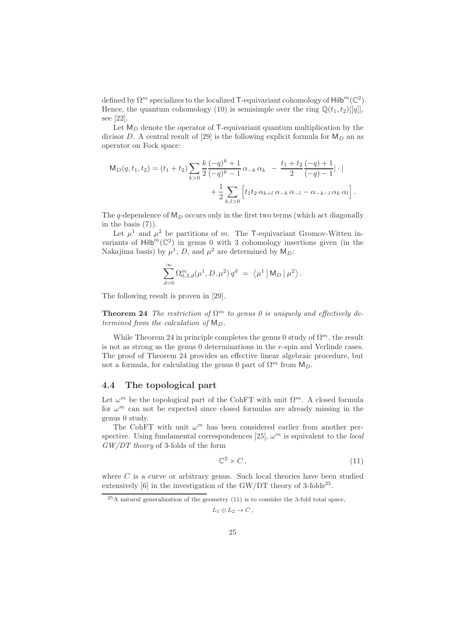defined by  $\Omega^m$  specializes to the localized T-equivariant cohomology of  $\mathsf{Hilb}^m(\mathbb{C}^2)$ . Hence, the quantum cohomology (10) is semisimple over the ring  $\mathbb{Q}(t_1, t_2)[[q]]$ , see [22].

Let  $M_D$  denote the operator of T-equivariant quantum multiplication by the divisor D. A central result of [29] is the following explicit formula for  $M_D$  an as operator on Fock space:

$$
\mathsf{M}_D(q, t_1, t_2) = (t_1 + t_2) \sum_{k>0} \frac{k}{2} \frac{(-q)^k + 1}{(-q)^k - 1} \alpha_{-k} \alpha_k - \frac{t_1 + t_2}{2} \frac{(-q) + 1}{(-q) - 1} |\cdot| + \frac{1}{2} \sum_{k,l>0} \left[ t_1 t_2 \alpha_{k+l} \alpha_{-k} \alpha_{-l} - \alpha_{-k-l} \alpha_k \alpha_l \right].
$$

The q-dependence of  $M_D$  occurs only in the first two terms (which act diagonally in the basis  $(7)$ ).

Let  $\mu^1$  and  $\mu^2$  be partitions of m. The T-equivariant Gromov-Witten invariants of  $Hilb<sup>m</sup>(\mathbb{C}^2)$  in genus 0 with 3 cohomology insertions given (in the Nakajima basis) by  $\mu^1$ , D, and  $\mu^2$  are determined by  $M_D$ :

$$
\sum_{d=0}^{\infty} \Omega_{0,3,d}^m(\mu^1, D, \mu^2) q^d = \langle \mu^1 | M_D | \mu^2 \rangle.
$$

The following result is proven in [29].

**Theorem 24** The restriction of  $\Omega^m$  to genus 0 is uniquely and effectively determined from the calculation of  $M_D$ .

While Theorem 24 in principle completes the genus 0 study of  $\Omega^m$ , the result is not as strong as the genus 0 determinations in the r-spin and Verlinde cases. The proof of Theorem 24 provides an effective linear algebraic procedure, but not a formula, for calculating the genus 0 part of  $\Omega^m$  from  $M_D$ .

#### 4.4 The topological part

Let  $\omega^m$  be the topological part of the CohFT with unit  $\Omega^m$ . A closed formula for  $\omega^m$  can not be expected since closed formulas are already missing in the genus 0 study.

The CohFT with unit  $\omega^m$  has been considered earlier from another perspective. Using fundamental correspondences [25],  $\omega^m$  is equivalent to the local  $GW/DT$  theory of 3-folds of the form

$$
\mathbb{C}^2 \times C\,,\tag{11}
$$

where  $C$  is a curve or arbitrary genus. Such local theories have been studied extensively  $[6]$  in the investigation of the GW/DT theory of 3-folds<sup>25</sup>.

$$
L_1\oplus L_2\to C\,,
$$

 $^{25}$ A natural generalization of the geometry (11) is to consider the 3-fold total space,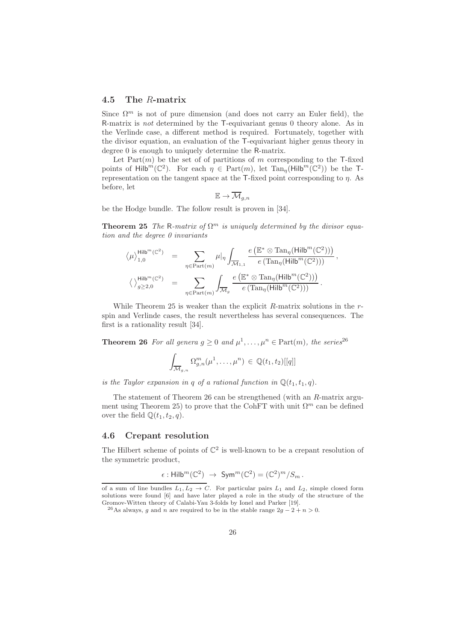#### 4.5 The R-matrix

Since  $\Omega^m$  is not of pure dimension (and does not carry an Euler field), the R-matrix is not determined by the T-equivariant genus 0 theory alone. As in the Verlinde case, a different method is required. Fortunately, together with the divisor equation, an evaluation of the T-equivariant higher genus theory in degree 0 is enough to uniquely determine the R-matrix.

Let  $Part(m)$  be the set of of partitions of m corresponding to the T-fixed points of Hilb<sup>m</sup>( $\mathbb{C}^2$ ). For each  $\eta \in Part(m)$ , let  $Tan_{\eta}(Hilb^m(\mathbb{C}^2))$  be the Trepresentation on the tangent space at the  $\mathsf{T}\text{-fixed}$  point corresponding to  $\eta$ . As before, let

$$
\mathbb{E} \to \overline{\mathcal{M}}_{g,n}
$$

be the Hodge bundle. The follow result is proven in [34].

**Theorem 25** The R-matrix of  $\Omega^m$  is uniquely determined by the divisor equation and the degree 0 invariants

$$
\begin{array}{rcl} \displaystyle \langle\mu\rangle_{1,0}^{\mathsf{Hilb}^m(\mathbb{C}^2)} & = & \displaystyle \sum_{\eta\in\mathrm{Part}(m)} \mu|_{\eta} \int_{\overline{\mathcal{M}}_{1,1}} \frac{e\left(\mathbb{E}^*\otimes \mathrm{Tan}_{\eta}(\mathsf{Hilb}^m(\mathbb{C}^2))\right)}{e\left(\mathrm{Tan}_{\eta}(\mathsf{Hilb}^m(\mathbb{C}^2))\right)},\\[10pt] \displaystyle \langle\ \rangle_{g\geq 2,0}^{\mathsf{Hilb}^m(\mathbb{C}^2)} & = & \displaystyle \sum_{\eta\in\mathrm{Part}(m)} \int_{\overline{\mathcal{M}}_g} \frac{e\left(\mathbb{E}^*\otimes \mathrm{Tan}_{\eta}(\mathsf{Hilb}^m(\mathbb{C}^2))\right)}{e\left(\mathrm{Tan}_{\eta}(\mathsf{Hilb}^m(\mathbb{C}^2))\right)}\,.\end{array}
$$

While Theorem 25 is weaker than the explicit  $R$ -matrix solutions in the  $r$ spin and Verlinde cases, the result nevertheless has several consequences. The first is a rationality result [34].

**Theorem 26** For all genera  $g \geq 0$  and  $\mu^1, \ldots, \mu^n \in \text{Part}(m)$ , the series<sup>26</sup>

$$
\int_{\overline{\mathcal{M}}_{g,n}} \Omega_{g,n}^m(\mu^1,\ldots,\mu^n) \in \mathbb{Q}(t_1,t_2)[[q]]
$$

is the Taylor expansion in q of a rational function in  $\mathbb{Q}(t_1, t_1, q)$ .

The statement of Theorem 26 can be strengthened (with an R-matrix argument using Theorem 25) to prove that the CohFT with unit  $\Omega^m$  can be defined over the field  $\mathbb{Q}(t_1, t_2, q)$ .

#### 4.6 Crepant resolution

The Hilbert scheme of points of  $\mathbb{C}^2$  is well-known to be a crepant resolution of the symmetric product,

$$
\epsilon: \mathsf{Hilb}^m(\mathbb{C}^2) \; \rightarrow \; \mathsf{Sym}^m(\mathbb{C}^2) = (\mathbb{C}^2)^m/S_m \, .
$$

of a sum of line bundles  $L_1, L_2 \rightarrow C$ . For particular pairs  $L_1$  and  $L_2$ , simple closed form solutions were found [6] and have later played a role in the study of the structure of the Gromov-Witten theory of Calabi-Yau 3-folds by Ionel and Parker [19].

<sup>&</sup>lt;sup>26</sup>As always, g and n are required to be in the stable range  $2g - 2 + n > 0$ .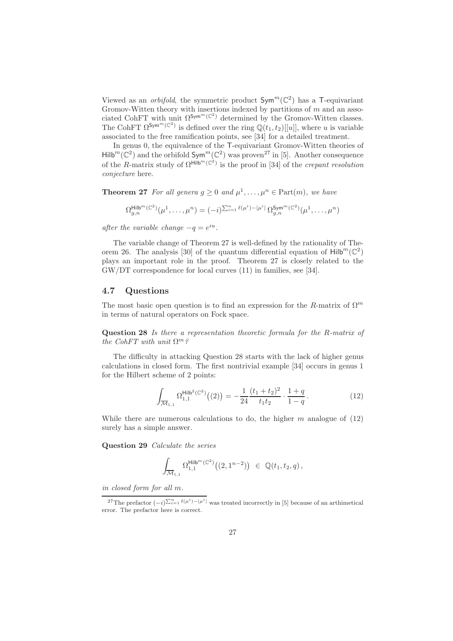Viewed as an *orbifold*, the symmetric product  $Sym^m(\mathbb{C}^2)$  has a T-equivariant Gromov-Witten theory with insertions indexed by partitions of  $m$  and an associated CohFT with unit  $\Omega^{\text{Sym}^m(\mathbb{C}^2)}$  determined by the Gromov-Witten classes. The CohFT  $\Omega^{\text{Sym}^m(\mathbb{C}^2)}$  is defined over the ring  $\mathbb{Q}(t_1, t_2)[[u]]$ , where u is variable associated to the free ramification points, see [34] for a detailed treatment.

In genus 0, the equivalence of the T-equivariant Gromov-Witten theories of  $\mathsf{Hilb}^m(\mathbb{C}^2)$  and the orbifold  $\mathsf{Sym}^m(\mathbb{C}^2)$  was proven<sup>27</sup> in [5]. Another consequence of the R-matrix study of  $\Omega^{\text{Hilb}^m(\mathbb{C}^2)}$  is the proof in [34] of the *crepant resolution* conjecture here.

**Theorem 27** For all genera  $g \geq 0$  and  $\mu^1, \ldots, \mu^n \in \text{Part}(m)$ , we have

$$
\Omega_{g,n}^{\mathsf{Hilb}^m(\mathbb{C}^2)}(\mu^1,\ldots,\mu^n) = (-i)^{\sum_{i=1}^n \ell(\mu^i)-|\mu^i|} \, \Omega_{g,n}^{\mathsf{Sym}^m(\mathbb{C}^2)}(\mu^1,\ldots,\mu^n)
$$

after the variable change  $-q = e^{iu}$ .

The variable change of Theorem 27 is well-defined by the rationality of Theorem 26. The analysis [30] of the quantum differential equation of  $\mathsf{Hilb}^m(\mathbb{C}^2)$ plays an important role in the proof. Theorem 27 is closely related to the GW/DT correspondence for local curves (11) in families, see [34].

#### 4.7 Questions

The most basic open question is to find an expression for the R-matrix of  $\Omega^m$ in terms of natural operators on Fock space.

Question 28 Is there a representation theoretic formula for the R-matrix of the CohFT with unit  $\Omega^m$ ?

The difficulty in attacking Question 28 starts with the lack of higher genus calculations in closed form. The first nontrivial example [34] occurs in genus 1 for the Hilbert scheme of 2 points:

$$
\int_{\overline{\mathcal{M}}_{1,1}} \Omega_{1,1}^{\mathsf{Hilb}^2(\mathbb{C}^2)}((2)) = -\frac{1}{24} \frac{(t_1 + t_2)^2}{t_1 t_2} \cdot \frac{1+q}{1-q} \,. \tag{12}
$$

While there are numerous calculations to do, the higher  $m$  analogue of  $(12)$ surely has a simple answer.

Question 29 Calculate the series

$$
\int_{\overline{\mathcal{M}}_{1,1}} \Omega^{\mathsf{Hilb}^m(\mathbb{C}^2)}_{1,1}\big((2,1^{n-2})\big) \ \in \ \mathbb{Q}(t_1,t_2,q) \, ,
$$

in closed form for all m.

<sup>&</sup>lt;sup>27</sup>The prefactor  $(-i)^{\sum_{i=1}^{n} \ell(\mu^{i}) - |\mu^{i}|}$  was treated incorrectly in [5] because of an arthimetical error. The prefactor here is correct.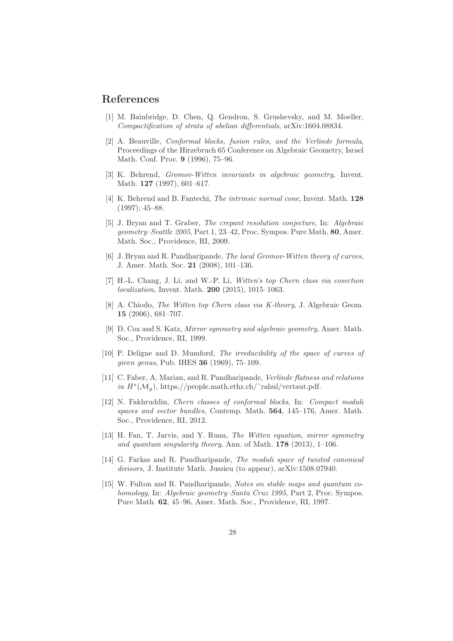# References

- [1] M. Bainbridge, D. Chen, Q. Gendron, S. Grushevsky, and M. Moeller, Compactification of strata of abelian differentials, arXiv:1604.08834.
- [2] A. Beauville, Conformal blocks, fusion rules, and the Verlinde formula, Proceedings of the Hirzebruch 65 Conference on Algebraic Geometry, Israel Math. Conf. Proc. 9 (1996), 75–96.
- [3] K. Behrend, Gromov-Witten invariants in algebraic geometry, Invent. Math. 127 (1997), 601–617.
- [4] K. Behrend and B. Fantechi, The intrinsic normal cone, Invent. Math. 128 (1997), 45–88.
- [5] J. Bryan and T. Graber, The crepant resolution conjecture, In: Algebraic geometry–Seattle 2005, Part 1, 23–42, Proc. Sympos. Pure Math. 80, Amer. Math. Soc., Providence, RI, 2009.
- [6] J. Bryan and R. Pandharipande, The local Gromov-Witten theory of curves, J. Amer. Math. Soc. 21 (2008), 101–136.
- [7] H.-L. Chang, J. Li, and W.-P. Li, Witten's top Chern class via cosection localization, Invent. Math. 200 (2015), 1015–1063.
- [8] A. Chiodo, The Witten top Chern class via K-theory, J. Algebraic Geom. 15 (2006), 681–707.
- [9] D. Cox and S. Katz, Mirror symmetry and algebraic geometry, Amer. Math. Soc., Providence, RI, 1999.
- [10] P. Deligne and D. Mumford, The irreducibility of the space of curves of given genus, Pub. IHES 36 (1969), 75–109.
- [11] C. Faber, A. Marian, and R. Pandharipande, Verlinde flatness and relations  $in H^*(\mathcal{M}_g)$ , https://people.math.ethz.ch/~rahul/vertaut.pdf.
- [12] N. Fakhruddin, Chern classes of conformal blocks, In: Compact moduli spaces and vector bundles, Contemp. Math. 564, 145–176, Amer. Math. Soc., Providence, RI, 2012.
- [13] H. Fan, T. Jarvis, and Y. Ruan, The Witten equation, mirror symmetry and quantum singularity theory, Ann. of Math.  $178$  (2013), 1–106.
- [14] G. Farkas and R. Pandharipande, The moduli space of twisted canonical divisors, J. Institute Math. Jussieu (to appear), arXiv:1508.07940.
- [15] W. Fulton and R. Pandharipande, Notes on stable maps and quantum cohomology, In: Algebraic geometry–Santa Cruz 1995, Part 2, Proc. Sympos. Pure Math. 62, 45–96, Amer. Math. Soc., Providence, RI, 1997.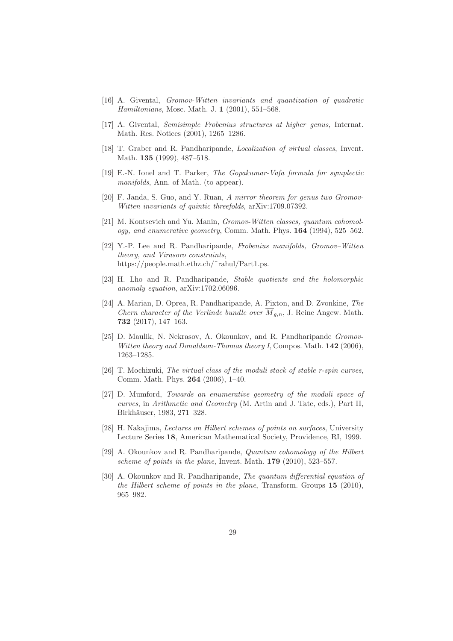- [16] A. Givental, Gromov-Witten invariants and quantization of quadratic Hamiltonians, Mosc. Math. J. 1 (2001), 551–568.
- [17] A. Givental, Semisimple Frobenius structures at higher genus, Internat. Math. Res. Notices (2001), 1265–1286.
- [18] T. Graber and R. Pandharipande, Localization of virtual classes, Invent. Math. 135 (1999), 487–518.
- [19] E.-N. Ionel and T. Parker, The Gopakumar-Vafa formula for symplectic manifolds, Ann. of Math. (to appear).
- [20] F. Janda, S. Guo, and Y. Ruan, A mirror theorem for genus two Gromov-Witten invariants of quintic threefolds, arXiv:1709.07392.
- [21] M. Kontsevich and Yu. Manin, Gromov-Witten classes, quantum cohomology, and enumerative geometry, Comm. Math. Phys. 164 (1994), 525–562.
- [22] Y.-P. Lee and R. Pandharipande, Frobenius manifolds, Gromov–Witten theory, and Virasoro constraints, https://people.math.ethz.ch/˜rahul/Part1.ps.
- [23] H. Lho and R. Pandharipande, Stable quotients and the holomorphic anomaly equation, arXiv:1702.06096.
- [24] A. Marian, D. Oprea, R. Pandharipande, A. Pixton, and D. Zvonkine, The Chern character of the Verlinde bundle over  $\overline{M}_{a,n}$ , J. Reine Angew. Math. 732 (2017), 147–163.
- [25] D. Maulik, N. Nekrasov, A. Okounkov, and R. Pandharipande Gromov-Witten theory and Donaldson-Thomas theory I, Compos. Math. 142 (2006), 1263–1285.
- [26] T. Mochizuki, The virtual class of the moduli stack of stable r-spin curves, Comm. Math. Phys. 264 (2006), 1–40.
- [27] D. Mumford, Towards an enumerative geometry of the moduli space of curves, in Arithmetic and Geometry (M. Artin and J. Tate, eds.), Part II, Birkhäuser, 1983, 271–328.
- [28] H. Nakajima, Lectures on Hilbert schemes of points on surfaces, University Lecture Series 18, American Mathematical Society, Providence, RI, 1999.
- [29] A. Okounkov and R. Pandharipande, Quantum cohomology of the Hilbert scheme of points in the plane, Invent. Math. 179 (2010), 523–557.
- [30] A. Okounkov and R. Pandharipande, The quantum differential equation of the Hilbert scheme of points in the plane, Transform. Groups 15 (2010), 965–982.